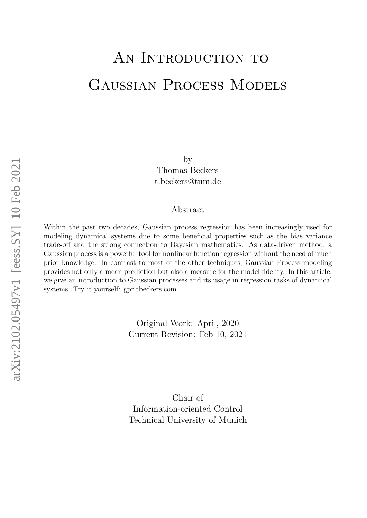# AN INTRODUCTION TO Gaussian Process Models

by Thomas Beckers t.beckers@tum.de

#### Abstract

Within the past two decades, Gaussian process regression has been increasingly used for modeling dynamical systems due to some beneficial properties such as the bias variance trade-off and the strong connection to Bayesian mathematics. As data-driven method, a Gaussian process is a powerful tool for nonlinear function regression without the need of much prior knowledge. In contrast to most of the other techniques, Gaussian Process modeling provides not only a mean prediction but also a measure for the model fidelity. In this article, we give an introduction to Gaussian processes and its usage in regression tasks of dynamical systems. Try it yourself: [gpr.tbeckers.com](https://gpr.tbeckers.com)

> Original Work: April, 2020 Current Revision: Feb 10, 2021

> Chair of Information-oriented Control Technical University of Munich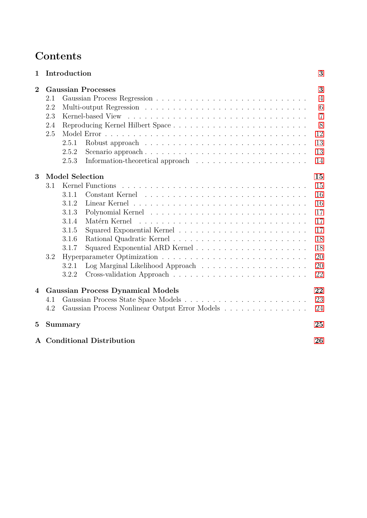## **Contents**

| $\mathbf 1$             | Introduction                                   |                                                |  |  | 3              |  |
|-------------------------|------------------------------------------------|------------------------------------------------|--|--|----------------|--|
| $\overline{2}$          | <b>Gaussian Processes</b>                      |                                                |  |  |                |  |
|                         | 2.1                                            |                                                |  |  | $\overline{4}$ |  |
|                         | 2.2                                            |                                                |  |  | 6              |  |
|                         | 2.3                                            |                                                |  |  | $\overline{7}$ |  |
|                         | 2.4                                            |                                                |  |  | 8              |  |
|                         | 2.5                                            |                                                |  |  | 12             |  |
|                         |                                                | 2.5.1                                          |  |  | 13             |  |
|                         |                                                | 2.5.2<br>Scenario approach                     |  |  | 13             |  |
|                         |                                                | 2.5.3                                          |  |  | 14             |  |
| 3                       | <b>Model Selection</b><br>15                   |                                                |  |  |                |  |
|                         | 3.1                                            | Kernel Functions                               |  |  | 15             |  |
|                         |                                                | 3.1.1                                          |  |  | 16             |  |
|                         |                                                | 3.1.2                                          |  |  | 16             |  |
|                         |                                                | 3.1.3                                          |  |  | 17             |  |
|                         |                                                | 3.1.4<br>Matérn Kernel                         |  |  | 17             |  |
|                         |                                                | 3.1.5                                          |  |  | 17             |  |
|                         |                                                | 3.1.6                                          |  |  | 18             |  |
|                         |                                                | 3.1.7                                          |  |  | 18             |  |
|                         | 3.2                                            |                                                |  |  | 20             |  |
|                         |                                                | 3.2.1                                          |  |  | 20             |  |
|                         |                                                | 3.2.2                                          |  |  | 22             |  |
| $\overline{\mathbf{4}}$ | 22<br><b>Gaussian Process Dynamical Models</b> |                                                |  |  |                |  |
|                         | 4.1                                            |                                                |  |  | 23             |  |
|                         | 4.2                                            | Gaussian Process Nonlinear Output Error Models |  |  | 24             |  |
| $\bf{5}$                |                                                | Summary<br>25                                  |  |  |                |  |
|                         |                                                | A Conditional Distribution<br>26               |  |  |                |  |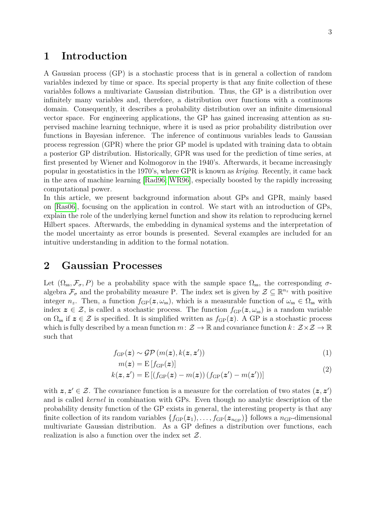## <span id="page-2-0"></span>**1 Introduction**

A Gaussian process (GP) is a stochastic process that is in general a collection of random variables indexed by time or space. Its special property is that any finite collection of these variables follows a multivariate Gaussian distribution. Thus, the GP is a distribution over infinitely many variables and, therefore, a distribution over functions with a continuous domain. Consequently, it describes a probability distribution over an infinite dimensional vector space. For engineering applications, the GP has gained increasing attention as supervised machine learning technique, where it is used as prior probability distribution over functions in Bayesian inference. The inference of continuous variables leads to Gaussian process regression (GPR) where the prior GP model is updated with training data to obtain a posterior GP distribution. Historically, GPR was used for the prediction of time series, at first presented by Wiener and Kolmogorov in the 1940's. Afterwards, it became increasingly popular in geostatistics in the 1970's, where GPR is known as *kriging*. Recently, it came back in the area of machine learning [\[Rad96;](#page-28-0) [WR96\]](#page-29-0), especially boosted by the rapidly increasing computational power.

In this article, we present background information about GPs and GPR, mainly based on [\[Ras06\]](#page-28-1), focusing on the application in control. We start with an introduction of GPs, explain the role of the underlying kernel function and show its relation to reproducing kernel Hilbert spaces. Afterwards, the embedding in dynamical systems and the interpretation of the model uncertainty as error bounds is presented. Several examples are included for an intuitive understanding in addition to the formal notation.

## <span id="page-2-1"></span>**2 Gaussian Processes**

Let  $(\Omega_{ss}, \mathcal{F}_{\sigma}, P)$  be a probability space with the sample space  $\Omega_{ss}$ , the corresponding  $\sigma$ algebra  $\mathcal{F}_{\sigma}$  and the probability measure P. The index set is given by  $\mathcal{Z} \subseteq \mathbb{R}^{n_z}$  with positive integer  $n_z$ . Then, a function  $f_{GP}(z, \omega_{ss})$ , which is a measurable function of  $\omega_{ss} \in \Omega_{ss}$  with index  $z \in \mathcal{Z}$ , is called a stochastic process. The function  $f_{GP}(z, \omega_{ss})$  is a random variable on  $\Omega_{\rm ss}$  if  $z \in \mathcal{Z}$  is specified. It is simplified written as  $f_{\rm GP}(z)$ . A GP is a stochastic process which is fully described by a mean function  $m: \mathcal{Z} \to \mathbb{R}$  and covariance function  $k: \mathcal{Z} \times \mathcal{Z} \to \mathbb{R}$ such that

$$
f_{\rm GP}(z) \sim \mathcal{GP}(m(z), k(z, z')) \tag{1}
$$

$$
m(z) = \mathcal{E}[f_{\text{GP}}(z)]
$$
  
 
$$
E[(f_{\text{GP}}(z) - m(z)) (f_{\text{GP}}(z') - m(z'))]
$$
 (2)

$$
k(\mathbf{z}, \mathbf{z}') = \mathrm{E}\left[\left(f_{\mathrm{GP}}(\mathbf{z}) - m(\mathbf{z})\right)\left(f_{\mathrm{GP}}(\mathbf{z}') - m(\mathbf{z}')\right)\right]
$$

with  $z, z' \in \mathcal{Z}$ . The covariance function is a measure for the correlation of two states  $(z, z')$ and is called *kernel* in combination with GPs. Even though no analytic description of the probability density function of the GP exists in general, the interesting property is that any finite collection of its random variables  $\{f_{GP}(z_1), \ldots, f_{GP}(z_{n_{GP}})\}\$  follows a  $n_{GP}$ -dimensional multivariate Gaussian distribution. As a GP defines a distribution over functions, each realization is also a function over the index set Z.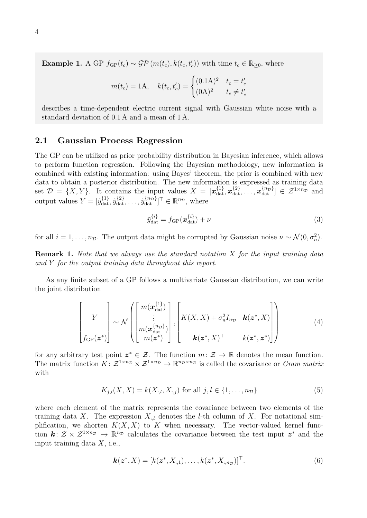**Example 1.** A GP  $f_{GP}(t_c) \sim \mathcal{GP}(m(t_c), k(t_c, t_c'))$  with time  $t_c \in \mathbb{R}_{\geq 0}$ , where

$$
m(t_c) = 1A, \quad k(t_c, t_c') = \begin{cases} (0.1A)^2 & t_c = t_c'\\ (0A)^2 & t_c \neq t_c' \end{cases}
$$

describes a time-dependent electric current signal with Gaussian white noise with a standard deviation of 0.1 A and a mean of 1 A.

#### <span id="page-3-0"></span>**2.1 Gaussian Process Regression**

The GP can be utilized as prior probability distribution in Bayesian inference, which allows to perform function regression. Following the Bayesian methodology, new information is combined with existing information: using Bayes' theorem, the prior is combined with new data to obtain a posterior distribution. The new information is expressed as training data set  $\mathcal{D} = \{X, Y\}$ . It contains the input values  $X = [\mathbf{x}_{\text{dat}}^{\{1\}}, \mathbf{x}_{\text{dat}}^{\{2\}}, \dots, \mathbf{x}_{\text{dat}}^{\{n_D\}}] \in \mathcal{Z}^{1 \times n_D}$  and output values  $Y = [\tilde{y}_{\text{dat}}^{\{1\}}, \tilde{y}_{\text{dat}}^{\{2\}}, \dots, \tilde{y}_{\text{dat}}^{\{n_{\mathcal{D}}\}}]^{\top} \in \mathbb{R}^{n_{\mathcal{D}}}$ , where

<span id="page-3-1"></span>
$$
\tilde{y}_{\text{dat}}^{\{i\}} = f_{\text{GP}}(\boldsymbol{x}_{\text{dat}}^{\{i\}}) + \nu \tag{3}
$$

for all  $i = 1, \ldots, n_{\mathcal{D}}$ . The output data might be corrupted by Gaussian noise  $\nu \sim \mathcal{N}(0, \sigma_n^2)$ .

**Remark 1.** *Note that we always use the standard notation X for the input training data and Y for the output training data throughout this report.*

As any finite subset of a GP follows a multivariate Gaussian distribution, we can write the joint distribution

$$
\begin{bmatrix} Y \\ \mathcal{F} \\ f_{GP}(z^*) \end{bmatrix} \sim \mathcal{N} \left( \begin{bmatrix} m(\boldsymbol{x}_{\text{dat}}^{\{1\}}) \\ \vdots \\ m(\boldsymbol{x}_{\text{dat}}^{\{n_D\}}) \\ m(z^*) \end{bmatrix}, \begin{bmatrix} K(X, X) + \sigma_n^2 I_{n_D} & \boldsymbol{k}(z^*, X) \\ \vdots \\ \boldsymbol{k}(z^*, X)^\top & k(z^*, z^*) \end{bmatrix} \right) \tag{4}
$$

for any arbitrary test point  $z^* \in \mathcal{Z}$ . The function  $m: \mathcal{Z} \to \mathbb{R}$  denotes the mean function. The matrix function  $K: \mathcal{Z}^{1 \times n_D} \times \mathcal{Z}^{1 \times n_D} \to \mathbb{R}^{n_D \times n_D}$  is called the covariance or *Gram matrix* with

<span id="page-3-2"></span>
$$
K_{j,l}(X, X) = k(X_{:,l}, X_{:,j}) \text{ for all } j, l \in \{1, ..., n_{\mathcal{D}}\}
$$
(5)

where each element of the matrix represents the covariance between two elements of the training data *X*. The expression  $X_{:l}$  denotes the *l*-th column of *X*. For notational simplification, we shorten  $K(X, X)$  to  $K$  when necessary. The vector-valued kernel function  $k: \mathcal{Z} \times \mathcal{Z}^{1 \times n_{\mathcal{D}}} \to \mathbb{R}^{n_{\mathcal{D}}}$  calculates the covariance between the test input  $z^*$  and the input training data *X*, i.e.,

$$
\mathbf{k}(\mathbf{z}^*, X) = [k(\mathbf{z}^*, X_{:,1}), \dots, k(\mathbf{z}^*, X_{:,n_D})]^\top.
$$
 (6)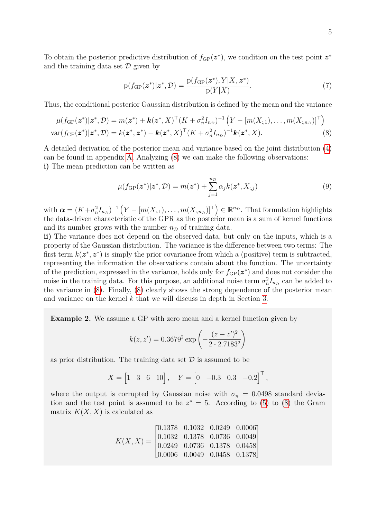To obtain the posterior predictive distribution of  $f_{GP}(z^*)$ , we condition on the test point  $z^*$ and the training data set  $\mathcal D$  given by

<span id="page-4-0"></span>
$$
p(f_{GP}(\boldsymbol{z}^*)|\boldsymbol{z}^*, \mathcal{D}) = \frac{p(f_{GP}(\boldsymbol{z}^*), Y|X, \boldsymbol{z}^*)}{p(Y|X)}.
$$
\n(7)

Thus, the conditional posterior Gaussian distribution is defined by the mean and the variance

$$
\mu(f_{\text{GP}}(\boldsymbol{z}^*)|\boldsymbol{z}^*,\mathcal{D}) = m(\boldsymbol{z}^*) + \boldsymbol{k}(\boldsymbol{z}^*,X)^\top (K + \sigma_n^2 I_{n_{\mathcal{D}}})^{-1} \left( Y - [m(X_{:,1}),\ldots,m(X_{:,n_{\mathcal{D}}})]^\top \right)
$$
  
var
$$
(f_{\text{GP}}(\boldsymbol{z}^*)|\boldsymbol{z}^*,\mathcal{D}) = k(\boldsymbol{z}^*,\boldsymbol{z}^*) - \boldsymbol{k}(\boldsymbol{z}^*,X)^\top (K + \sigma_n^2 I_{n_{\mathcal{D}}})^{-1} \boldsymbol{k}(\boldsymbol{z}^*,X).
$$
 (8)

A detailed derivation of the posterior mean and variance based on the joint distribution [\(4\)](#page-3-1) can be found in appendix [A.](#page-25-0) Analyzing [\(8\)](#page-4-0) we can make the following observations: **i)** The mean prediction can be written as

$$
\mu(f_{\text{GP}}(\boldsymbol{z}^*)|\boldsymbol{z}^*,\mathcal{D}) = m(\boldsymbol{z}^*) + \sum_{j=1}^{n_{\mathcal{D}}} \alpha_j k(\boldsymbol{z}^*, X_{:,j})
$$
\n(9)

 $\text{with } \boldsymbol{\alpha} = (K + \sigma_n^2 I_{n_D})^{-1} \left( Y - [m(X_{:,1}), \dots, m(X_{:,n_D})]^\top \right) \in \mathbb{R}^{n_D}$ . That formulation highlights the data-driven characteristic of the GPR as the posterior mean is a sum of kernel functions and its number grows with the number  $n<sub>D</sub>$  of training data.

**ii)** The variance does not depend on the observed data, but only on the inputs, which is a property of the Gaussian distribution. The variance is the difference between two terms: The first term  $k(z^*, z^*)$  is simply the prior covariance from which a (positive) term is subtracted, representing the information the observations contain about the function. The uncertainty of the prediction, expressed in the variance, holds only for  $f_{GP}(z^*)$  and does not consider the noise in the training data. For this purpose, an additional noise term  $\sigma_n^2 I_{n_D}$  can be added to the variance in [\(8\)](#page-4-0). Finally, [\(8\)](#page-4-0) clearly shows the strong dependence of the posterior mean and variance on the kernel *k* that we will discuss in depth in Section [3.](#page-14-0)

**Example 2.** We assume a GP with zero mean and a kernel function given by

$$
k(z, z') = 0.3679^{2} \exp\left(-\frac{(z - z')^{2}}{2 \cdot 2.7183^{2}}\right)
$$

as prior distribution. The training data set  $\mathcal D$  is assumed to be

$$
X = \begin{bmatrix} 1 & 3 & 6 & 10 \end{bmatrix}
$$
,  $Y = \begin{bmatrix} 0 & -0.3 & 0.3 & -0.2 \end{bmatrix}^{\top}$ ,

where the output is corrupted by Gaussian noise with  $\sigma_n = 0.0498$  standard deviation and the test point is assumed to be  $z^* = 5$ . According to [\(5\)](#page-3-2) to [\(8\)](#page-4-0) the Gram matrix  $K(X, X)$  is calculated as

$$
K(X, X) = \begin{bmatrix} 0.1378 & 0.1032 & 0.0249 & 0.0006 \\ 0.1032 & 0.1378 & 0.0736 & 0.0049 \\ 0.0249 & 0.0736 & 0.1378 & 0.0458 \\ 0.0006 & 0.0049 & 0.0458 & 0.1378 \end{bmatrix}
$$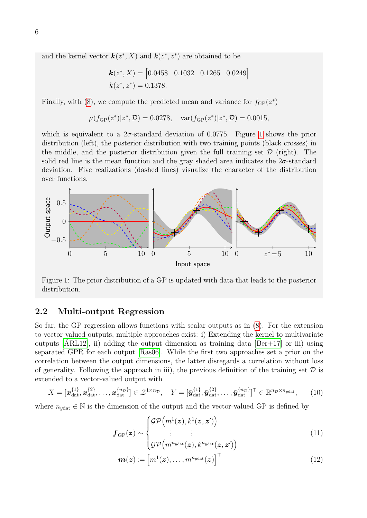and the kernel vector  $\mathbf{k}(z^*, X)$  and  $k(z^*, z^*)$  are obtained to be

$$
\mathbf{k}(z^*, X) = [0.0458 \quad 0.1032 \quad 0.1265 \quad 0.0249]
$$

$$
k(z^*, z^*) = 0.1378.
$$

Finally, with [\(8\)](#page-4-0), we compute the predicted mean and variance for  $f_{GP}(z^*)$ 

$$
\mu(f_{\text{GP}}(z^*)|z^*, \mathcal{D}) = 0.0278
$$
,  $\text{var}(f_{\text{GP}}(z^*)|z^*, \mathcal{D}) = 0.0015$ ,

which is equivalent to a  $2\sigma$ -standard deviation of 0.0775. Figure [1](#page-5-1) shows the prior distribution (left), the posterior distribution with two training points (black crosses) in the middle, and the posterior distribution given the full training set  $\mathcal D$  (right). The solid red line is the mean function and the gray shaded area indicates the 2*σ*-standard deviation. Five realizations (dashed lines) visualize the character of the distribution over functions.

<span id="page-5-1"></span>

Figure 1: The prior distribution of a GP is updated with data that leads to the posterior distribution.

#### <span id="page-5-0"></span>**2.2 Multi-output Regression**

So far, the GP regression allows functions with scalar outputs as in [\(8\)](#page-4-0). For the extension to vector-valued outputs, multiple approaches exist: i) Extending the kernel to multivariate outputs  $[ARL12]$ , ii) adding the output dimension as training data  $[Ber+17]$  or iii) using separated GPR for each output [\[Ras06\]](#page-28-1). While the first two approaches set a prior on the correlation between the output dimensions, the latter disregards a correlation without loss of generality. Following the approach in iii), the previous definition of the training set  $\mathcal D$  is extended to a vector-valued output with

$$
X = [\boldsymbol{x}_{\text{dat}}^{\{1\}}, \boldsymbol{x}_{\text{dat}}^{\{2\}}, \dots, \boldsymbol{x}_{\text{dat}}^{\{n_{\mathcal{D}}\}}] \in \mathcal{Z}^{1 \times n_{\mathcal{D}}}, \quad Y = [\tilde{\boldsymbol{y}}_{\text{dat}}^{\{1\}}, \tilde{\boldsymbol{y}}_{\text{dat}}^{\{2\}}, \dots, \tilde{\boldsymbol{y}}_{\text{dat}}^{\{n_{\mathcal{D}}\}}]^{\top} \in \mathbb{R}^{n_{\mathcal{D}} \times n_{\text{ydat}}}, \quad (10)
$$

where  $n_{\text{ydat}} \in \mathbb{N}$  is the dimension of the output and the vector-valued GP is defined by

$$
\boldsymbol{f}_{\mathrm{GP}}(\boldsymbol{z}) \sim \begin{cases} \mathcal{GP}\left(m^1(\boldsymbol{z}), k^1(\boldsymbol{z}, \boldsymbol{z}')\right) \\ \vdots \\ \mathcal{GP}\left(m^{n_{\mathrm{ydat}}}(\boldsymbol{z}), k^{n_{\mathrm{ydat}}}(\boldsymbol{z}, \boldsymbol{z}')\right) \end{cases} \tag{11}
$$

$$
\boldsymbol{m}(\boldsymbol{z}) \coloneqq \left[m^1(\boldsymbol{z}), \ldots, m^{n_{\text{ydat}}}(\boldsymbol{z})\right]^{\top} \tag{12}
$$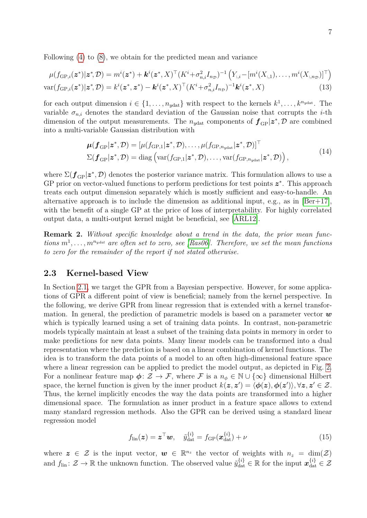Following [\(4\)](#page-3-1) to [\(8\)](#page-4-0), we obtain for the predicted mean and variance

$$
\mu(f_{\text{GP},i}(\boldsymbol{z}^*)|\boldsymbol{z}^*,\mathcal{D}) = m^i(\boldsymbol{z}^*) + \boldsymbol{k}^i(\boldsymbol{z}^*,X)^\top (K^i + \sigma_{n,i}^2 I_{n_{\mathcal{D}}})^{-1} \left(Y_{:,i} - [m^i(X_{:,1}),\ldots,m^i(X_{:,n_{\mathcal{D}}})]^\top\right)
$$
  

$$
\text{var}(f_{\text{GP},i}(\boldsymbol{z}^*)|\boldsymbol{z}^*,\mathcal{D}) = k^i(\boldsymbol{z}^*,\boldsymbol{z}^*) - \boldsymbol{k}^i(\boldsymbol{z}^*,X)^\top (K^i + \sigma_{n,i}^2 I_{n_{\mathcal{D}}})^{-1} \boldsymbol{k}^i(\boldsymbol{z}^*,X) \tag{13}
$$

for each output dimension  $i \in \{1, \ldots, n_{y \text{dat}}\}$  with respect to the kernels  $k^1, \ldots, k^{n_{y \text{dat}}}$ . The variable  $\sigma_{n,i}$  denotes the standard deviation of the Gaussian noise that corrupts the *i*-th dimension of the output measurements. The  $n_{y\text{dat}}$  components of  $f_{\text{GP}}|z^*, \mathcal{D}$  are combined into a multi-variable Gaussian distribution with

$$
\boldsymbol{\mu}(f_{\text{GP}}|\boldsymbol{z}^*,\mathcal{D}) = [\mu(f_{\text{GP},1}|\boldsymbol{z}^*,\mathcal{D}),\ldots,\mu(f_{\text{GP},n_{\text{ydat}}}|\boldsymbol{z}^*,\mathcal{D})]^\top
$$
  

$$
\Sigma(f_{\text{GP}}|\boldsymbol{z}^*,\mathcal{D}) = \text{diag}\left(\text{var}(f_{\text{GP},1}|\boldsymbol{z}^*,\mathcal{D}),\ldots,\text{var}(f_{\text{GP},n_{\text{ydat}}}|\boldsymbol{z}^*,\mathcal{D})\right),
$$
\n(14)

where  $\Sigma(\mathbf{f}_{\text{GP}}|z^*, \mathcal{D})$  denotes the posterior variance matrix. This formulation allows to use a GP prior on vector-valued functions to perform predictions for test points  $z^*$ . This approach treats each output dimension separately which is mostly sufficient and easy-to-handle. An alternative approach is to include the dimension as additional input, e.g., as in  $\text{[Ber+17]}$  $\text{[Ber+17]}$  $\text{[Ber+17]}$ . with the benefit of a single GP at the price of loss of interpretability. For highly correlated output data, a multi-output kernel might be beneficial, see [\[ÁRL12\]](#page-27-0).

**Remark 2.** *Without specific knowledge about a trend in the data, the prior mean functions m*<sup>1</sup> , *. . .* , *m<sup>n</sup>ydat are often set to zero, see [\[Ras06\]](#page-28-1). Therefore, we set the mean functions to zero for the remainder of the report if not stated otherwise.*

#### <span id="page-6-0"></span>**2.3 Kernel-based View**

In Section [2.1,](#page-3-0) we target the GPR from a Bayesian perspective. However, for some applications of GPR a different point of view is beneficial; namely from the kernel perspective. In the following, we derive GPR from linear regression that is extended with a kernel transformation. In general, the prediction of parametric models is based on a parameter vector *w* which is typically learned using a set of training data points. In contrast, non-parametric models typically maintain at least a subset of the training data points in memory in order to make predictions for new data points. Many linear models can be transformed into a dual representation where the prediction is based on a linear combination of kernel functions. The idea is to transform the data points of a model to an often high-dimensional feature space where a linear regression can be applied to predict the model output, as depicted in Fig. [2.](#page-7-1) For a nonlinear feature map  $\phi: \mathcal{Z} \to \mathcal{F}$ , where  $\mathcal{F}$  is a  $n_{\phi} \in \mathbb{N} \cup \{\infty\}$  dimensional Hilbert space, the kernel function is given by the inner product  $k(z, z') = \langle \phi(z), \phi(z') \rangle, \forall z, z' \in \mathcal{Z}$ . Thus, the kernel implicitly encodes the way the data points are transformed into a higher dimensional space. The formulation as inner product in a feature space allows to extend many standard regression methods. Also the GPR can be derived using a standard linear regression model

$$
f_{\text{lin}}(\boldsymbol{z}) = \boldsymbol{z}^{\top}\boldsymbol{w}, \quad \tilde{y}_{\text{dat}}^{\{i\}} = f_{\text{GP}}(\boldsymbol{x}_{\text{dat}}^{\{i\}}) + \nu \tag{15}
$$

where  $z \in \mathcal{Z}$  is the input vector,  $w \in \mathbb{R}^{n_z}$  the vector of weights with  $n_z = \dim(\mathcal{Z})$ and  $f_{lin}: \mathcal{Z} \to \mathbb{R}$  the unknown function. The observed value  $\tilde{y}_{dat}^{\{i\}} \in \mathbb{R}$  for the input  $\mathbf{x}_{dat}^{\{i\}} \in \mathcal{Z}$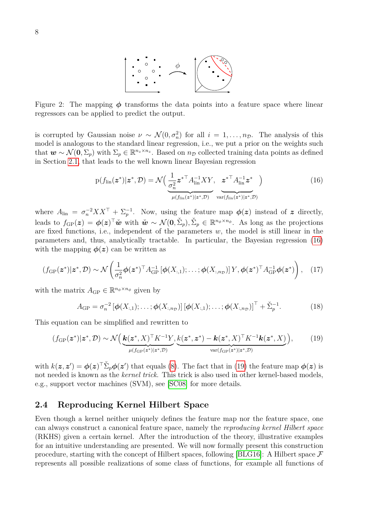

<span id="page-7-1"></span>Figure 2: The mapping  $\phi$  transforms the data points into a feature space where linear regressors can be applied to predict the output.

is corrupted by Gaussian noise  $\nu \sim \mathcal{N}(0, \sigma_n^2)$  for all  $i = 1, ..., n_{\mathcal{D}}$ . The analysis of this model is analogous to the standard linear regression, i.e., we put a prior on the weights such that  $w \sim \mathcal{N}(0, \Sigma_p)$  with  $\Sigma_p \in \mathbb{R}^{n_z \times n_z}$ . Based on  $n_D$  collected training data points as defined in Section [2.1,](#page-3-0) that leads to the well known linear Bayesian regression

<span id="page-7-2"></span>
$$
p(f_{\text{lin}}(\boldsymbol{z}^*)|\boldsymbol{z}^*,\mathcal{D})=\mathcal{N}\Big(\frac{1}{\sigma_n^2}{\boldsymbol{z}^*}^\top A_{\text{lin}}^{-1}XY,\ \boldsymbol{z}^*^\top A_{\text{lin}}^{-1}\boldsymbol{z}^*\Big) \qquad (16)
$$

$$
\frac{\sigma_n^2}{\mu(f_{\text{lin}}(\boldsymbol{z}^*)|\boldsymbol{z}^*,\mathcal{D})}\ \operatorname{var}(f_{\text{lin}}(\boldsymbol{z}^*)|\boldsymbol{z}^*,\mathcal{D})
$$

where  $A_{\text{lin}} = \sigma_n^{-2} X X^{\top} + \Sigma_p^{-1}$ . Now, using the feature map  $\phi(z)$  instead of *z* directly, leads to  $f_{GP}(z) = \phi(z)^\top \tilde{\boldsymbol{w}}$  with  $\tilde{\boldsymbol{w}} \sim \mathcal{N}(\boldsymbol{0}, \check{\Sigma}_p), \check{\Sigma}_p \in \mathbb{R}^{n_\phi \times n_\phi}$ . As long as the projections are fixed functions, i.e., independent of the parameters *w*, the model is still linear in the parameters and, thus, analytically tractable. In particular, the Bayesian regression [\(16\)](#page-7-2) with the mapping  $\phi(z)$  can be written as

$$
(f_{\mathrm{GP}}(\boldsymbol{z}^*)|\boldsymbol{z}^*,\mathcal{D}) \sim \mathcal{N}\left(\frac{1}{\sigma_n^2}\boldsymbol{\phi}(\boldsymbol{z}^*)^\top A_{\mathrm{GP}}^{-1}\left[\boldsymbol{\phi}(X_{:,1});\ldots;\boldsymbol{\phi}(X_{:,n_{\mathcal{D}}})\right]Y,\boldsymbol{\phi}(\boldsymbol{z}^*)^\top A_{\mathrm{GP}}^{-1}\boldsymbol{\phi}(\boldsymbol{z}^*)\right),\quad(17)
$$

with the matrix  $A_{\text{GP}} \in \mathbb{R}^{n_{\phi} \times n_{\phi}}$  given by

<span id="page-7-3"></span>
$$
A_{\rm GP} = \sigma_n^{-2} \left[ \boldsymbol{\phi}(X_{:,1}); \ldots; \boldsymbol{\phi}(X_{:,n_{\mathcal{D}}}) \right] \left[ \boldsymbol{\phi}(X_{:,1}); \ldots; \boldsymbol{\phi}(X_{:,n_{\mathcal{D}}}) \right]^{\top} + \check{\Sigma}_p^{-1}.
$$
 (18)

This equation can be simplified and rewritten to

$$
(f_{\mathrm{GP}}(\boldsymbol{z}^*)|\boldsymbol{z}^*,\mathcal{D}) \sim \mathcal{N}\Big(\underbrace{\boldsymbol{k}(\boldsymbol{z}^*,X)}_{\mu(f_{\mathrm{GP}}(\boldsymbol{z}^*)|\boldsymbol{z}^*,\mathcal{D})} \underbrace{k(\boldsymbol{z}^*,\boldsymbol{z}^*) - \boldsymbol{k}(\boldsymbol{z}^*,X)}_{\text{var}(f_{\mathrm{GP}}(\boldsymbol{z}^*)|\boldsymbol{z}^*,\mathcal{D})}\Big),\tag{19}
$$

with  $k(z, z') = \phi(z)^\top \check{\Sigma}_p \phi(z')$  that equals [\(8\)](#page-4-0). The fact that in [\(19\)](#page-7-3) the feature map  $\phi(z)$  is not needed is known as the *kernel trick*. This trick is also used in other kernel-based models, e.g., support vector machines (SVM), see [\[SC08\]](#page-28-2) for more details.

#### <span id="page-7-0"></span>**2.4 Reproducing Kernel Hilbert Space**

Even though a kernel neither uniquely defines the feature map nor the feature space, one can always construct a canonical feature space, namely the *reproducing kernel Hilbert space* (RKHS) given a certain kernel. After the introduction of the theory, illustrative examples for an intuitive understanding are presented. We will now formally present this construction procedure, starting with the concept of Hilbert spaces, following [\[BLG16\]](#page-27-2): A Hilbert space  $\mathcal F$ represents all possible realizations of some class of functions, for example all functions of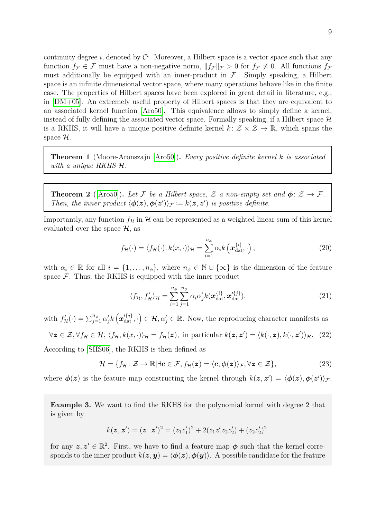continuity degree *i*, denoted by  $\mathcal{C}^i$ . Moreover, a Hilbert space is a vector space such that any function  $f_F \in \mathcal{F}$  must have a non-negative norm,  $||f_F||_F > 0$  for  $f_F \neq 0$ . All functions  $f_F$ must additionally be equipped with an inner-product in  $\mathcal{F}$ . Simply speaking, a Hilbert space is an infinite dimensional vector space, where many operations behave like in the finite case. The properties of Hilbert spaces have been explored in great detail in literature, e.g., in [\[DM+05\]](#page-27-3). An extremely useful property of Hilbert spaces is that they are equivalent to an associated kernel function [\[Aro50\]](#page-27-4). This equivalence allows to simply define a kernel, instead of fully defining the associated vector space. Formally speaking, if a Hilbert space  $\mathcal H$ is a RKHS, it will have a unique positive definite kernel  $k: \mathcal{Z} \times \mathcal{Z} \to \mathbb{R}$ , which spans the space  $\mathcal{H}$ .

**Theorem 1** (Moore-Aronszajn [\[Aro50\]](#page-27-4))**.** *Every positive definite kernel k is associated with a unique RKHS* H*.*

**Theorem 2** ([\[Aro50\]](#page-27-4)). Let F be a Hilbert space, Z a non-empty set and  $\phi: \mathcal{Z} \to \mathcal{F}$ . *Then, the inner product*  $\langle \phi(z), \phi(z') \rangle_{\mathcal{F}} := k(z, z')$  *is positive definite.* 

Importantly, any function  $f_{\mathcal{H}}$  in  $\mathcal{H}$  can be represented as a weighted linear sum of this kernel evaluated over the space  $\mathcal{H}$ , as

$$
f_{\mathcal{H}}(\cdot) = \langle f_{\mathcal{H}}(\cdot), k(x, \cdot) \rangle_{\mathcal{H}} = \sum_{i=1}^{n_{\phi}} \alpha_i k\left(\boldsymbol{x}_{\text{dat}}^{\{i\}}, \cdot\right), \tag{20}
$$

with  $\alpha_i \in \mathbb{R}$  for all  $i = \{1, \ldots, n_\phi\}$ , where  $n_\phi \in \mathbb{N} \cup \{\infty\}$  is the dimension of the feature space  $\mathcal F$ . Thus, the RKHS is equipped with the inner-product

<span id="page-8-1"></span><span id="page-8-0"></span>
$$
\langle f_{\mathcal{H}}, f'_{\mathcal{H}} \rangle_{\mathcal{H}} = \sum_{i=1}^{n_{\phi}} \sum_{j=1}^{n_{\phi}} \alpha_i \alpha'_j k(\boldsymbol{x}_{\text{dat}}^{\{i\}}, \boldsymbol{x}_{\text{dat}}^{\prime\{j\}}), \tag{21}
$$

with  $f'_{\mathcal{H}}(\cdot) = \sum_{j=1}^{n_{\phi}} \alpha'_{j} k\left(\mathbf{x}'_{\text{dat}}^{(j)}, \cdot\right) \in \mathcal{H}, \alpha'_{j} \in \mathbb{R}$ . Now, the reproducing character manifests as

 $\forall z \in \mathcal{Z}, \forall f_{\mathcal{H}} \in \mathcal{H}, \langle f_{\mathcal{H}}, k(x, \cdot) \rangle_{\mathcal{H}} = f_{\mathcal{H}}(z)$ , in particular  $k(z, z') = \langle k(\cdot, z), k(\cdot, z') \rangle_{\mathcal{H}}.$  (22)

According to [\[SHS06\]](#page-28-3), the RKHS is then defined as

$$
\mathcal{H} = \{ f_{\mathcal{H}} \colon \mathcal{Z} \to \mathbb{R} | \exists c \in \mathcal{F}, f_{\mathcal{H}}(\boldsymbol{z}) = \langle c, \phi(\boldsymbol{z}) \rangle_{\mathcal{F}}, \forall \boldsymbol{z} \in \mathcal{Z} \},\tag{23}
$$

where  $\phi(z)$  is the feature map constructing the kernel through  $k(z, z') = \langle \phi(z), \phi(z') \rangle_{\mathcal{F}}$ .

**Example 3.** We want to find the RKHS for the polynomial kernel with degree 2 that is given by

$$
k(\mathbf{z}, \mathbf{z}') = (\mathbf{z}^\top \mathbf{z}')^2 = (z_1 z_1')^2 + 2(z_1 z_1' z_2 z_2') + (z_2 z_2')^2.
$$

for any  $z, z' \in \mathbb{R}^2$ . First, we have to find a feature map  $\phi$  such that the kernel corresponds to the inner product  $k(z, y) = \langle \phi(z), \phi(y) \rangle$ . A possible candidate for the feature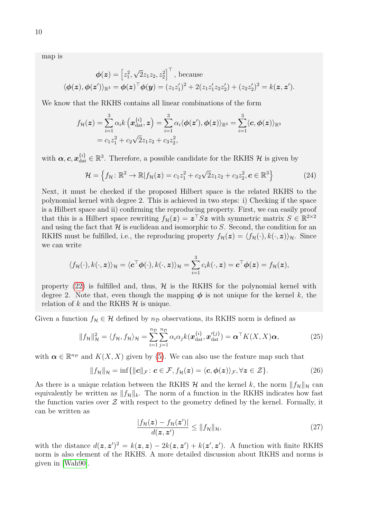map is

$$
\phi(\mathbf{z}) = \left[z_1^2, \sqrt{2}z_1z_2, z_2^2\right]^\top, \text{ because}
$$

$$
\langle \phi(\mathbf{z}), \phi(\mathbf{z}') \rangle_{\mathbb{R}^3} = \phi(\mathbf{z})^\top \phi(\mathbf{y}) = (z_1z_1')^2 + 2(z_1z_1'z_2z_2') + (z_2z_2')^2 = k(\mathbf{z}, \mathbf{z}').
$$

We know that the RKHS contains all linear combinations of the form

$$
f_{\mathcal{H}}(\boldsymbol{z}) = \sum_{i=1}^{3} \alpha_{i} k\left(\boldsymbol{x}_{\text{dat}}^{\{i\}}, \boldsymbol{z}\right) = \sum_{i=1}^{3} \alpha_{i} \langle \boldsymbol{\phi}(\boldsymbol{z}'), \boldsymbol{\phi}(\boldsymbol{z}) \rangle_{\mathbb{R}^{3}} = \sum_{i=1}^{3} \langle \boldsymbol{c}, \boldsymbol{\phi}(\boldsymbol{z}) \rangle_{\mathbb{R}^{3}}
$$

$$
= c_{1} z_{1}^{2} + c_{2} \sqrt{2} z_{1} z_{2} + c_{3} z_{2}^{2},
$$

with  $\alpha$ ,  $c$ ,  $x_{\text{dat}}^{\{i\}} \in \mathbb{R}^3$ . Therefore, a possible candidate for the RKHS  $\mathcal{H}$  is given by

<span id="page-9-2"></span>
$$
\mathcal{H} = \left\{ f_{\mathcal{H}} \colon \mathbb{R}^2 \to \mathbb{R} \middle| f_{\mathcal{H}}(\boldsymbol{z}) = c_1 z_1^2 + c_2 \sqrt{2} z_1 z_2 + c_3 z_2^2, \boldsymbol{c} \in \mathbb{R}^3 \right\}
$$
(24)

Next, it must be checked if the proposed Hilbert space is the related RKHS to the polynomial kernel with degree 2. This is achieved in two steps: i) Checking if the space is a Hilbert space and ii) confirming the reproducing property. First, we can easily proof that this is a Hilbert space rewriting  $f_{\mathcal{H}}(z) = z^{\top} S z$  with symmetric matrix  $S \in \mathbb{R}^{2 \times 2}$ and using the fact that  $H$  is euclidean and isomorphic to  $S$ . Second, the condition for an RKHS must be fulfilled, i.e., the reproducing property  $f_{\mathcal{H}}(\mathbf{z}) = \langle f_{\mathcal{H}}(\cdot), k(\cdot, \mathbf{z}) \rangle_{\mathcal{H}}$ . Since we can write

$$
\langle f_{\mathcal{H}}(\cdot), k(\cdot, z) \rangle_{\mathcal{H}} = \langle c^{\top} \boldsymbol{\phi}(\cdot), k(\cdot, z) \rangle_{\mathcal{H}} = \sum_{i=1}^{3} c_{i} k(\cdot, z) = c^{\top} \boldsymbol{\phi}(z) = f_{\mathcal{H}}(z),
$$

property [\(22\)](#page-8-0) is fulfilled and, thus,  $\mathcal{H}$  is the RKHS for the polynomial kernel with degree 2. Note that, even though the mapping  $\phi$  is not unique for the kernel k, the relation of  $k$  and the RKHS  $H$  is unique.

Given a function  $f_{\mathcal{H}} \in \mathcal{H}$  defined by  $n_{\mathcal{D}}$  observations, its RKHS norm is defined as

$$
||f_{\mathcal{H}}||_{\mathcal{H}}^2 = \langle f_{\mathcal{H}}, f_{\mathcal{H}} \rangle_{\mathcal{H}} = \sum_{i=1}^{n_{\mathcal{D}}} \sum_{j=1}^{n_{\mathcal{D}}} \alpha_i \alpha_j k(\boldsymbol{x}_{\text{dat}}^{\{i\}}, \boldsymbol{x}_{\text{dat}}^{\{j\}}) = \boldsymbol{\alpha}^\top K(X, X) \boldsymbol{\alpha},\tag{25}
$$

with  $\boldsymbol{\alpha} \in \mathbb{R}^{n_{\mathcal{D}}}$  and  $K(X, X)$  given by [\(5\)](#page-3-2). We can also use the feature map such that

$$
||f_{\mathcal{H}}||_{\mathcal{H}} = \inf \{ ||c||_{\mathcal{F}} : c \in \mathcal{F}, f_{\mathcal{H}}(z) = \langle c, \phi(z) \rangle_{\mathcal{F}}, \forall z \in \mathcal{Z} \}.
$$
 (26)

As there is a unique relation between the RKHS  $\mathcal{H}$  and the kernel k, the norm  $||f_{\mathcal{H}}||_{\mathcal{H}}$  can equivalently be written as  $||f_{\mathcal{H}}||_k$ . The norm of a function in the RKHS indicates how fast the function varies over  $\mathcal Z$  with respect to the geometry defined by the kernel. Formally, it can be written as

<span id="page-9-3"></span><span id="page-9-1"></span><span id="page-9-0"></span>
$$
\frac{|f_{\mathcal{H}}(z) - f_{\mathcal{H}}(z')|}{d(z, z')} \le ||f_{\mathcal{H}}||_{\mathcal{H}},\tag{27}
$$

with the distance  $d(z, z')^2 = k(z, z) - 2k(z, z') + k(z', z')$ . A function with finite RKHS norm is also element of the RKHS. A more detailed discussion about RKHS and norms is given in [\[Wah90\]](#page-29-1).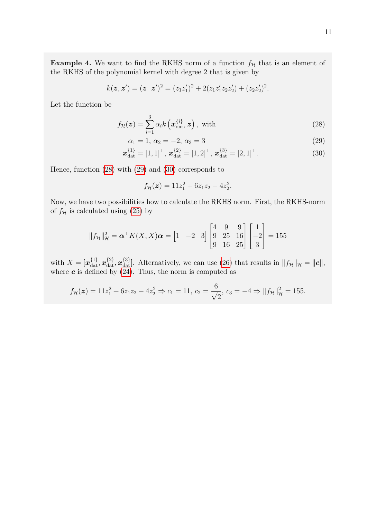**Example 4.** We want to find the RKHS norm of a function  $f<sub>H</sub>$  that is an element of the RKHS of the polynomial kernel with degree 2 that is given by

$$
k(\mathbf{z}, \mathbf{z}') = (\mathbf{z}^\top \mathbf{z}')^2 = (z_1 z_1')^2 + 2(z_1 z_1' z_2 z_2') + (z_2 z_2')^2.
$$

Let the function be

$$
f_{\mathcal{H}}(\boldsymbol{z}) = \sum_{i=1}^{3} \alpha_i k\left(\boldsymbol{x}_{\text{dat}}^{\{i\}}, \boldsymbol{z}\right), \text{ with } (28)
$$

$$
\alpha_1 = 1, \ \alpha_2 = -2, \ \alpha_3 = 3 \tag{29}
$$

$$
\boldsymbol{x}_{\text{dat}}^{\{1\}} = [1, 1]^{\top}, \, \boldsymbol{x}_{\text{dat}}^{\{2\}} = [1, 2]^{\top}, \, \boldsymbol{x}_{\text{dat}}^{\{3\}} = [2, 1]^{\top}.
$$
 (30)

Hence, function [\(28\)](#page-10-0) with [\(29\)](#page-10-1) and [\(30\)](#page-10-2) corresponds to

<span id="page-10-2"></span><span id="page-10-1"></span><span id="page-10-0"></span>
$$
f_{\mathcal{H}}(\boldsymbol{z}) = 11z_1^2 + 6z_1z_2 - 4z_2^2.
$$

Now, we have two possibilities how to calculate the RKHS norm. First, the RKHS-norm of  $f_{\mathcal{H}}$  is calculated using [\(25\)](#page-9-0) by

$$
||f_{\mathcal{H}}||_{\mathcal{H}}^{2} = \boldsymbol{\alpha}^{\top} K(X, X) \boldsymbol{\alpha} = \begin{bmatrix} 1 & -2 & 3 \end{bmatrix} \begin{bmatrix} 4 & 9 & 9 \\ 9 & 25 & 16 \\ 9 & 16 & 25 \end{bmatrix} \begin{bmatrix} 1 \\ -2 \\ 3 \end{bmatrix} = 155
$$

with  $X = [\mathbf{x}_{\text{dat}}^{\{1\}}, \mathbf{x}_{\text{dat}}^{\{2\}}, \mathbf{x}_{\text{dat}}^{\{3\}}]$ . Alternatively, we can use [\(26\)](#page-9-1) that results in  $||f_{\mathcal{H}}||_{\mathcal{H}} = ||\mathbf{c}||$ , where  $c$  is defined by  $(24)$ . Thus, the norm is computed as

$$
f_{\mathcal{H}}(\boldsymbol{z}) = 11z_1^2 + 6z_1z_2 - 4z_2^2 \Rightarrow c_1 = 11, c_2 = \frac{6}{\sqrt{2}}, c_3 = -4 \Rightarrow ||f_{\mathcal{H}}||_{\mathcal{H}}^2 = 155.
$$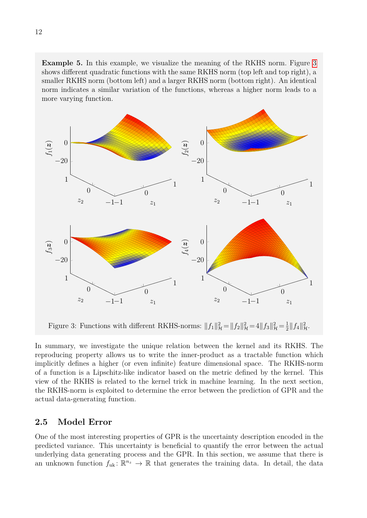**Example 5.** In this example, we visualize the meaning of the RKHS norm. Figure [3](#page-11-1) shows different quadratic functions with the same RKHS norm (top left and top right), a smaller RKHS norm (bottom left) and a larger RKHS norm (bottom right). An identical norm indicates a similar variation of the functions, whereas a higher norm leads to a more varying function.

<span id="page-11-1"></span>

Figure 3: Functions with different RKHS-norms:  $||f_1||^2_{\mathcal{H}} = ||f_2||^2_{\mathcal{H}} = 4||f_3||^2_{\mathcal{H}} = \frac{1}{2}$  $\frac{1}{2}||f_4||^2_{\mathcal{H}}.$ 

In summary, we investigate the unique relation between the kernel and its RKHS. The reproducing property allows us to write the inner-product as a tractable function which implicitly defines a higher (or even infinite) feature dimensional space. The RKHS-norm of a function is a Lipschitz-like indicator based on the metric defined by the kernel. This view of the RKHS is related to the kernel trick in machine learning. In the next section, the RKHS-norm is exploited to determine the error between the prediction of GPR and the actual data-generating function.

### <span id="page-11-0"></span>**2.5 Model Error**

One of the most interesting properties of GPR is the uncertainty description encoded in the predicted variance. This uncertainty is beneficial to quantify the error between the actual underlying data generating process and the GPR. In this section, we assume that there is an unknown function  $f_{uk}$ :  $\mathbb{R}^{n_z} \to \mathbb{R}$  that generates the training data. In detail, the data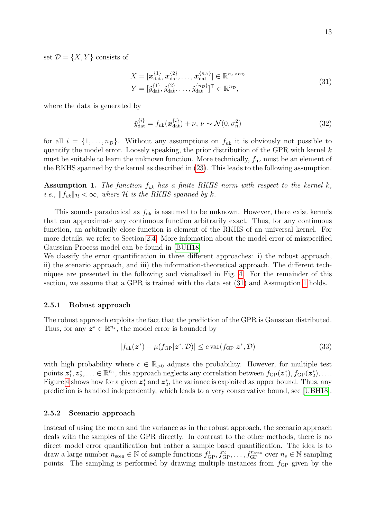set  $\mathcal{D} = \{X, Y\}$  consists of

<span id="page-12-2"></span>
$$
X = [\boldsymbol{x}_{\text{dat}}^{\{1\}}, \boldsymbol{x}_{\text{dat}}^{\{2\}}, \dots, \boldsymbol{x}_{\text{dat}}^{\{n_{\mathcal{D}}\}}] \in \mathbb{R}^{n_z \times n_{\mathcal{D}}}
$$
  

$$
Y = [\tilde{y}_{\text{dat}}^{\{1\}}, \tilde{y}_{\text{dat}}^{\{2\}}, \dots, \tilde{y}_{\text{dat}}^{\{n_{\mathcal{D}}\}}]^{\top} \in \mathbb{R}^{n_{\mathcal{D}}},
$$
\n(31)

where the data is generated by

$$
\tilde{y}_{\text{dat}}^{\{i\}} = f_{\text{uk}}(\boldsymbol{x}_{\text{dat}}^{\{i\}}) + \nu, \ \nu \sim \mathcal{N}(0, \sigma_n^2)
$$
\n(32)

for all  $i = \{1, \ldots, n_{\mathcal{D}}\}$ . Without any assumptions on  $f_{uk}$  it is obviously not possible to quantify the model error. Loosely speaking, the prior distribution of the GPR with kernel *k* must be suitable to learn the unknown function. More technically, *f*uk must be an element of the RKHS spanned by the kernel as described in [\(23\)](#page-8-1). This leads to the following assumption.

<span id="page-12-3"></span>**Assumption 1.** *The function*  $f_{uk}$  *has a finite RKHS norm with respect to the kernel*  $k$ *, i.e.,*  $||f_{uk}||_{\mathcal{H}} < \infty$ *, where*  $\mathcal{H}$  *is the RKHS spanned by k.* 

This sounds paradoxical as  $f_{\text{uk}}$  is assumed to be unknown. However, there exist kernels that can approximate any continuous function arbitrarily exact. Thus, for any continuous function, an arbitrarily close function is element of the RKHS of an universal kernel. For more details, we refer to Section [2.4.](#page-7-0) More infomation about the model error of misspecified Gaussian Process model can be found in [\[BUH18\]](#page-27-5)

We classify the error quantification in three different approaches: i) the robust approach, ii) the scenario approach, and iii) the information-theoretical approach. The different techniques are presented in the following and visualized in Fig. [4.](#page-14-2) For the remainder of this section, we assume that a GPR is trained with the data set [\(31\)](#page-12-2) and Assumption [1](#page-12-3) holds.

#### <span id="page-12-0"></span>**2.5.1 Robust approach**

The robust approach exploits the fact that the prediction of the GPR is Gaussian distributed. Thus, for any  $z^* \in \mathbb{R}^{n_z}$ , the model error is bounded by

$$
|f_{\text{uk}}(\boldsymbol{z}^*) - \mu(f_{\text{GP}}|\boldsymbol{z}^*, \mathcal{D})| \le c \operatorname{var}(f_{\text{GP}}|\boldsymbol{z}^*, \mathcal{D})
$$
\n(33)

with high probability where  $c \in \mathbb{R}_{>0}$  adjusts the probability. However, for multiple test points  $z_1^*, z_2^*, \ldots \in \mathbb{R}^{n_z}$ , this approach neglects any correlation between  $f_{GP}(z_1^*), f_{GP}(z_2^*), \ldots$ Figure [4](#page-14-2) shows how for a given  $z_1^*$  and  $z_2^*$ , the variance is exploited as upper bound. Thus, any prediction is handled independently, which leads to a very conservative bound, see [\[UBH18\]](#page-29-2).

#### <span id="page-12-1"></span>**2.5.2 Scenario approach**

Instead of using the mean and the variance as in the robust approach, the scenario approach deals with the samples of the GPR directly. In contrast to the other methods, there is no direct model error quantification but rather a sample based quantification. The idea is to draw a large number  $n_{\text{seen}} \in \mathbb{N}$  of sample functions  $f_{\text{GP}}^1, f_{\text{GP}}^2, \ldots, f_{\text{GP}}^{n_{\text{seen}}}$  over  $n_s \in \mathbb{N}$  sampling points. The sampling is performed by drawing multiple instances from  $f_{GP}$  given by the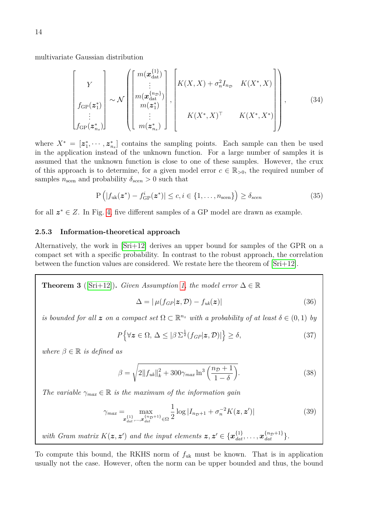multivariate Gaussian distribution

$$
\begin{bmatrix}\nY \\
f_{\text{GP}}(z_1^*) \\
\vdots \\
f_{\text{GP}}(z_{n_s}^*)\n\end{bmatrix}\n\sim \mathcal{N}\n\begin{bmatrix}\nm(x_{\text{dat}}^{\{1\}}) \\
\vdots \\
m(x_{\text{dat}}^{\{n_D\}}) \\
m(z_1^*) \\
\vdots \\
m(z_{n_s}^*)\n\end{bmatrix},\n\begin{bmatrix}\nK(X,X) + \sigma_n^2 I_{n_D} & K(X^*, X) \\
K(X^*, X)^\top & K(X^*, X^*) \\
K(X^*, X)^\top & K(X^*, X^*)\n\end{bmatrix},
$$
\n(34)

where  $X^* = [\mathbf{z}_1^*, \cdots, \mathbf{z}_{n_s}^*]$  contains the sampling points. Each sample can then be used in the application instead of the unknown function. For a large number of samples it is assumed that the unknown function is close to one of these samples. However, the crux of this approach is to determine, for a given model error  $c \in \mathbb{R}_{>0}$ , the required number of samples  $n_{\text{seen}}$  and probability  $\delta_{\text{seen}} > 0$  such that

$$
P\left(|f_{uk}(\boldsymbol{z}^*) - f_{GP}^i(\boldsymbol{z}^*)| \le c, i \in \{1, ..., n_{\text{seen}}\}\right) \ge \delta_{\text{seen}}
$$
\n(35)

for all *z* <sup>∗</sup> ∈ *Z*. In Fig. [4,](#page-14-2) five different samples of a GP model are drawn as example.

#### <span id="page-13-0"></span>**2.5.3 Information-theoretical approach**

Alternatively, the work in [\[Sri+12\]](#page-29-3) derives an upper bound for samples of the GPR on a compact set with a specific probability. In contrast to the robust approach, the correlation between the function values are considered. We restate here the theorem of [\[Sri+12\]](#page-29-3).

<span id="page-13-1"></span>**Theorem 3** ([Sri+12]). Given Assumption 1, the model error 
$$
\Delta \in \mathbb{R}
$$
  

$$
\Delta = |\mu(f_{GP}|\mathbf{z}, \mathcal{D}) - f_{uk}(\mathbf{z})|
$$
(36)

*is bounded for all*  $\boldsymbol{z}$  *on a compact set*  $\Omega \subset \mathbb{R}^{n_z}$  *with a probability of at least*  $\delta \in (0,1)$  *by* 

$$
P\left\{\forall z \in \Omega, \Delta \leq |\beta \sum_{\alpha}^{\frac{1}{2}} (f_{GP}|z, \mathcal{D})| \right\} \geq \delta,
$$
\n(37)

*where*  $\beta \in \mathbb{R}$  *is defined as* 

$$
\beta = \sqrt{2||f_{uk}||_k^2 + 300\gamma_{max}\ln^3\left(\frac{n_D + 1}{1 - \delta}\right)}.
$$
\n(38)

*The variable*  $\gamma_{max} \in \mathbb{R}$  *is the maximum of the information gain* 

$$
\gamma_{max} = \max_{\substack{x_{dat}^{\{1\}},...,x_{dat}^{\{n_{\mathcal{D}}+1}\}\in\Omega}} \frac{1}{2}\log|I_{n_{\mathcal{D}}+1} + \sigma_n^{-2}K(\boldsymbol{z},\boldsymbol{z}')| \tag{39}
$$

with Gram matrix 
$$
K(z, z')
$$
 and the input elements  $z, z' \in \{x_{dat}^{\{1\}}, \ldots, x_{dat}^{\{n_D+1\}}\}$ .

To compute this bound, the RKHS norm of *f*uk must be known. That is in application usually not the case. However, often the norm can be upper bounded and thus, the bound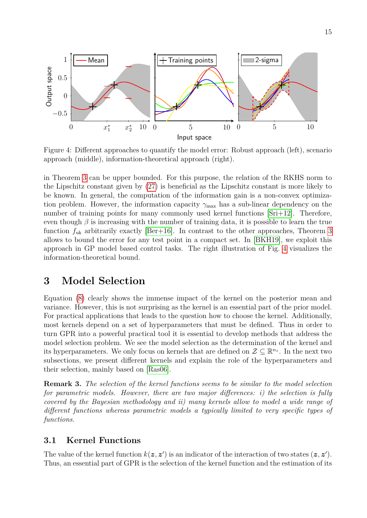<span id="page-14-2"></span>

Figure 4: Different approaches to quantify the model error: Robust approach (left), scenario approach (middle), information-theoretical approach (right).

in Theorem [3](#page-13-1) can be upper bounded. For this purpose, the relation of the RKHS norm to the Lipschitz constant given by [\(27\)](#page-9-3) is beneficial as the Lipschitz constant is more likely to be known. In general, the computation of the information gain is a non-convex optimization problem. However, the information capacity  $\gamma_{\text{max}}$  has a sub-linear dependency on the number of training points for many commonly used kernel functions [\[Sri+12\]](#page-29-3). Therefore, even though  $\beta$  is increasing with the number of training data, it is possible to learn the true function  $f_{\rm uk}$  arbitrarily exactly [\[Ber+16\]](#page-27-6). In contrast to the other approaches, Theorem [3](#page-13-1) allows to bound the error for any test point in a compact set. In [\[BKH19\]](#page-27-7), we exploit this approach in GP model based control tasks. The right illustration of Fig. [4](#page-14-2) visualizes the information-theoretical bound.

## <span id="page-14-0"></span>**3 Model Selection**

Equation [\(8\)](#page-4-0) clearly shows the immense impact of the kernel on the posterior mean and variance. However, this is not surprising as the kernel is an essential part of the prior model. For practical applications that leads to the question how to choose the kernel. Additionally, most kernels depend on a set of hyperparameters that must be defined. Thus in order to turn GPR into a powerful practical tool it is essential to develop methods that address the model selection problem. We see the model selection as the determination of the kernel and its hyperparameters. We only focus on kernels that are defined on  $\mathcal{Z} \subseteq \mathbb{R}^{n_z}$ . In the next two subsections, we present different kernels and explain the role of the hyperparameters and their selection, mainly based on [\[Ras06\]](#page-28-1).

**Remark 3.** *The selection of the kernel functions seems to be similar to the model selection for parametric models. However, there are two major differences: i) the selection is fully covered by the Bayesian methodology and ii) many kernels allow to model a wide range of different functions whereas parametric models a typically limited to very specific types of functions.*

## <span id="page-14-1"></span>**3.1 Kernel Functions**

The value of the kernel function  $k(z, z')$  is an indicator of the interaction of two states  $(z, z')$ . Thus, an essential part of GPR is the selection of the kernel function and the estimation of its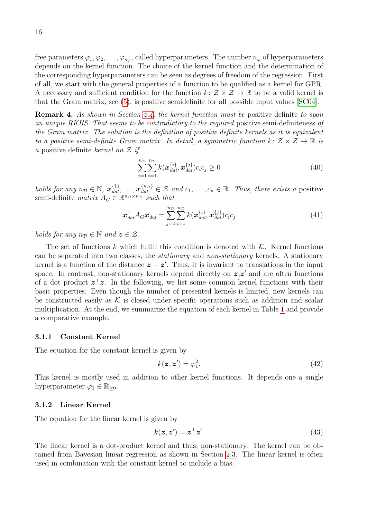free parameters  $\varphi_1, \varphi_2, \ldots, \varphi_{n_\varphi}$ , called hyperparameters. The number  $n_\varphi$  of hyperparameters depends on the kernel function. The choice of the kernel function and the determination of the corresponding hyperparameters can be seen as degrees of freedom of the regression. First of all, we start with the general properties of a function to be qualified as a kernel for GPR. A necessary and sufficient condition for the function  $k: \mathcal{Z} \times \mathcal{Z} \to \mathbb{R}$  to be a valid kernel is that the Gram matrix, see [\(5\)](#page-3-2), is positive semidefinite for all possible input values [\[SC04\]](#page-28-4).

**Remark 4.** *As shown in Section [2.4,](#page-7-0) the kernel function must be* positive definite *to span an unique RKHS. That seems to be contradictory to the required* positive semi-definiteness *of the Gram matrix. The solution is the definition of positive definite kernels as it is equivalent to a positive semi-definite Gram matrix. In detail, a symmetric function*  $k: \mathcal{Z} \times \mathcal{Z} \to \mathbb{R}$  *is a* positive definite *kernel on* Z *if*

$$
\sum_{j=1}^{n_{\mathcal{D}}} \sum_{i=1}^{n_{\mathcal{D}}} k(\boldsymbol{x}_{dat}^{\{i\}} , \boldsymbol{x}_{dat}^{\{j\}}) c_i c_j \ge 0
$$
\n(40)

*holds for any*  $n_{\mathcal{D}} \in \mathbb{N}$ ,  $x_{dat}^{\{1\}}$ ,  $\ldots$ ,  $x_{dat}^{\{n_{\mathcal{D}}\}} \in \mathcal{Z}$  *and*  $c_1, \ldots, c_n \in \mathbb{R}$ *. Thus, there exists a* positive semi-definite *matrix*  $A_G \in \mathbb{R}^{n_D \times n_D}$  *such that* 

$$
\boldsymbol{x}_{dat}^{\top} A_G \boldsymbol{x}_{dat} = \sum_{j=1}^{n_D} \sum_{i=1}^{n_D} k(\boldsymbol{x}_{dat}^{\{i\}}, \boldsymbol{x}_{dat}^{\{j\}}) c_i c_j \tag{41}
$$

*holds for any*  $n_{\mathcal{D}} \in \mathbb{N}$  *and*  $z \in \mathcal{Z}$ *.* 

The set of functions  $k$  which fulfill this condition is denoted with  $K$ . Kernel functions can be separated into two classes, the *stationary* and *non-stationary* kernels. A stationary kernel is a function of the distance  $z - z'$ . Thus, it is invariant to translations in the input space. In contrast, non-stationary kernels depend directly on  $z, z'$  and are often functions of a dot product  $z^{\top}z$ . In the following, we list some common kernel functions with their basic properties. Even though the number of presented kernels is limited, new kernels can be constructed easily as  $K$  is closed under specific operations such as addition and scalar multiplication. At the end, we summarize the equation of each kernel in Table [1](#page-18-0) and provide a comparative example.

#### <span id="page-15-0"></span>**3.1.1 Constant Kernel**

The equation for the constant kernel is given by

$$
k(\boldsymbol{z}, \boldsymbol{z}') = \varphi_1^2. \tag{42}
$$

This kernel is mostly used in addition to other kernel functions. It depends one a single hyperparameter  $\varphi_1 \in \mathbb{R}_{\geq 0}$ .

#### <span id="page-15-1"></span>**3.1.2 Linear Kernel**

The equation for the linear kernel is given by

<span id="page-15-2"></span>
$$
k(\mathbf{z}, \mathbf{z}') = \mathbf{z}^\top \mathbf{z}'.\tag{43}
$$

The linear kernel is a dot-product kernel and thus, non-stationary. The kernel can be obtained from Bayesian linear regression as shown in Section [2.3.](#page-6-0) The linear kernel is often used in combination with the constant kernel to include a bias.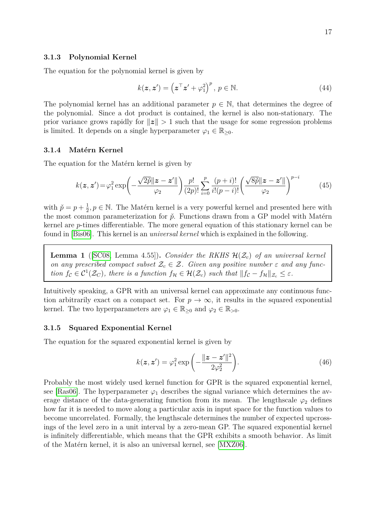#### <span id="page-16-0"></span>**3.1.3 Polynomial Kernel**

The equation for the polynomial kernel is given by

<span id="page-16-4"></span>
$$
k(\mathbf{z}, \mathbf{z}') = \left(\mathbf{z}^\top \mathbf{z}' + \varphi_1^2\right)^p, \ p \in \mathbb{N}.
$$
 (44)

The polynomial kernel has an additional parameter  $p \in \mathbb{N}$ , that determines the degree of the polynomial. Since a dot product is contained, the kernel is also non-stationary. The prior variance grows rapidly for  $||z|| > 1$  such that the usage for some regression problems is limited. It depends on a single hyperparameter  $\varphi_1 \in \mathbb{R}_{\geq 0}$ .

#### <span id="page-16-1"></span>**3.1.4 Matérn Kernel**

The equation for the Matérn kernel is given by

$$
k(\boldsymbol{z}, \boldsymbol{z}') = \varphi_1^2 \exp\left(-\frac{\sqrt{2\tilde{p}}||\boldsymbol{z} - \boldsymbol{z}'||}{\varphi_2}\right) \frac{p!}{(2p)!} \sum_{i=0}^p \frac{(p+i)!}{i!(p-i)!} \left(\frac{\sqrt{8\tilde{p}}||\boldsymbol{z} - \boldsymbol{z}'||}{\varphi_2}\right)^{p-i} \tag{45}
$$

with  $\check{p} = p + \frac{1}{2}$  $\frac{1}{2}, p \in \mathbb{N}$ . The Matérn kernel is a very powerful kernel and presented here with the most common parameterization for  $\check{p}$ . Functions drawn from a GP model with Matérn kernel are *p*-times differentiable. The more general equation of this stationary kernel can be found in [\[Bis06\]](#page-27-8). This kernel is an *universal kernel* which is explained in the following.

**Lemma 1** ([\[SC08,](#page-28-2) Lemma 4.55]). *Consider the RKHS*  $\mathcal{H}(\mathcal{Z}_c)$  *of an universal kernel on any prescribed compact subset*  $\mathcal{Z}_c \in \mathcal{Z}$ . Given any positive number  $\varepsilon$  and any func*tion*  $f_c \in C^1(\mathcal{Z}_C)$ , there is a function  $f_{\mathcal{H}} \in \mathcal{H}(\mathcal{Z}_c)$  such that  $||f_c - f_{\mathcal{H}}||_{\mathcal{Z}_c} \leq \varepsilon$ .

Intuitively speaking, a GPR with an universal kernel can approximate any continuous function arbitrarily exact on a compact set. For  $p \to \infty$ , it results in the squared exponential kernel. The two hyperparameters are  $\varphi_1 \in \mathbb{R}_{>0}$  and  $\varphi_2 \in \mathbb{R}_{>0}$ .

#### <span id="page-16-2"></span>**3.1.5 Squared Exponential Kernel**

The equation for the squared exponential kernel is given by

<span id="page-16-3"></span>
$$
k(\boldsymbol{z}, \boldsymbol{z}') = \varphi_1^2 \exp\left(-\frac{\|\boldsymbol{z} - \boldsymbol{z}'\|^2}{2\varphi_2^2}\right).
$$
 (46)

Probably the most widely used kernel function for GPR is the squared exponential kernel, see [\[Ras06\]](#page-28-1). The hyperparameter  $\varphi_1$  describes the signal variance which determines the average distance of the data-generating function from its mean. The lengthscale  $\varphi_2$  defines how far it is needed to move along a particular axis in input space for the function values to become uncorrelated. Formally, the lengthscale determines the number of expected upcrossings of the level zero in a unit interval by a zero-mean GP. The squared exponential kernel is infinitely differentiable, which means that the GPR exhibits a smooth behavior. As limit of the Matérn kernel, it is also an universal kernel, see [\[MXZ06\]](#page-28-5).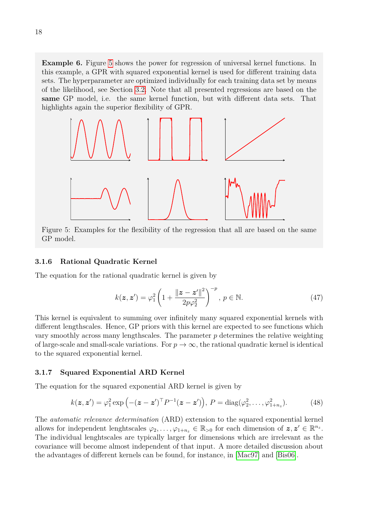**Example 6.** Figure [5](#page-17-2) shows the power for regression of universal kernel functions. In this example, a GPR with squared exponential kernel is used for different training data sets. The hyperparameter are optimized individually for each training data set by means of the likelihood, see Section [3.2.](#page-19-0) Note that all presented regressions are based on the **same** GP model, i.e. the same kernel function, but with different data sets. That highlights again the superior flexibility of GPR.

<span id="page-17-2"></span>

Figure 5: Examples for the flexibility of the regression that all are based on the same GP model.

#### <span id="page-17-0"></span>**3.1.6 Rational Quadratic Kernel**

The equation for the rational quadratic kernel is given by

$$
k(\boldsymbol{z}, \boldsymbol{z}') = \varphi_1^2 \left( 1 + \frac{\|\boldsymbol{z} - \boldsymbol{z}'\|^2}{2p\varphi_2^2} \right)^{-p}, \ p \in \mathbb{N}.
$$
 (47)

This kernel is equivalent to summing over infinitely many squared exponential kernels with different lengthscales. Hence, GP priors with this kernel are expected to see functions which vary smoothly across many lengthscales. The parameter *p* determines the relative weighting of large-scale and small-scale variations. For  $p \to \infty$ , the rational quadratic kernel is identical to the squared exponential kernel.

#### <span id="page-17-1"></span>**3.1.7 Squared Exponential ARD Kernel**

The equation for the squared exponential ARD kernel is given by

$$
k(\boldsymbol{z}, \boldsymbol{z}') = \varphi_1^2 \exp\left(-(z-\boldsymbol{z}')^\top P^{-1}(\boldsymbol{z}-\boldsymbol{z}')\right), \ P = \text{diag}(\varphi_2^2, \dots, \varphi_{1+n_z}^2). \tag{48}
$$

The *automatic relevance determination* (ARD) extension to the squared exponential kernel allows for independent lenghtscales  $\varphi_2, \ldots, \varphi_{1+n_z} \in \mathbb{R}_{>0}$  for each dimension of  $z, z' \in \mathbb{R}^{n_z}$ . The individual lenghtscales are typically larger for dimensions which are irrelevant as the covariance will become almost independent of that input. A more detailed discussion about the advantages of different kernels can be found, for instance, in [\[Mac97\]](#page-28-6) and [\[Bis06\]](#page-27-8).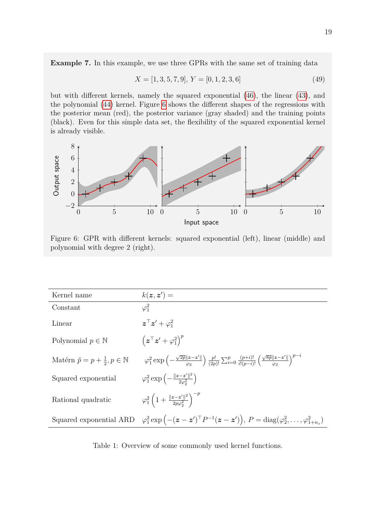**Example 7.** In this example, we use three GPRs with the same set of training data

$$
X = [1, 3, 5, 7, 9], Y = [0, 1, 2, 3, 6]
$$
\n
$$
(49)
$$

but with different kernels, namely the squared exponential [\(46\)](#page-16-3), the linear [\(43\)](#page-15-2), and the polynomial [\(44\)](#page-16-4) kernel. Figure [6](#page-18-1) shows the different shapes of the regressions with the posterior mean (red), the posterior variance (gray shaded) and the training points (black). Even for this simple data set, the flexibility of the squared exponential kernel is already visible.

<span id="page-18-1"></span>

Figure 6: GPR with different kernels: squared exponential (left), linear (middle) and polynomial with degree 2 (right).

<span id="page-18-0"></span>

| Kernel name                                            | $k(z, z') =$                                                                                                                                                                                 |
|--------------------------------------------------------|----------------------------------------------------------------------------------------------------------------------------------------------------------------------------------------------|
| Constant                                               | $\varphi_1^2$                                                                                                                                                                                |
| Linear                                                 | $\boldsymbol{z}^{\top} \boldsymbol{z}' + \varphi_1^2$                                                                                                                                        |
| Polynomial $p \in \mathbb{N}$                          | $\left(\boldsymbol{z}^{\top} \boldsymbol{z}^{\prime} + \varphi_1^2 \right)^{p}$                                                                                                              |
| Matérn $\check{p} = p + \frac{1}{2}, p \in \mathbb{N}$ | $\varphi_1^2 \exp \left(-\frac{\sqrt{2p} \ z-z'\ }{\varphi_2}\right) \frac{p!}{(2p)!} \sum_{i=0}^p \frac{(p+i)!}{i!(p-i)!} \left(\frac{\sqrt{8p} \ z-z'\ }{\varphi_2}\right)^{p-i}$          |
| Squared exponential                                    | $\varphi_1^2 \exp \left(-\frac{\ z-z'\ ^2}{2a^2}\right)$                                                                                                                                     |
| Rational quadratic                                     | $\varphi_1^2\left(1+\frac{\ z-z'\ ^2}{2p\varphi_2^2}\right)^{-p}$                                                                                                                            |
|                                                        | Squared exponential ARD $\varphi_1^2 \exp\left(-(\boldsymbol{z}-\boldsymbol{z}')^\top P^{-1}(\boldsymbol{z}-\boldsymbol{z}')\right), P = \text{diag}(\varphi_2^2, \dots, \varphi_{1+n_z}^2)$ |

Table 1: Overview of some commonly used kernel functions.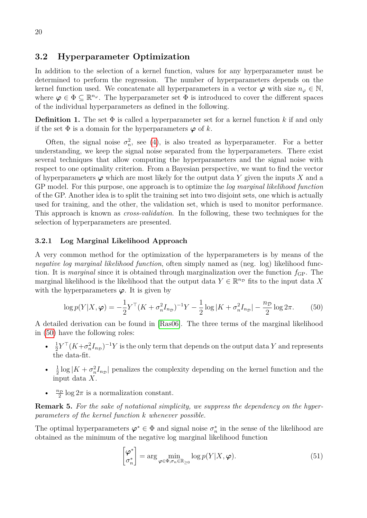#### <span id="page-19-0"></span>**3.2 Hyperparameter Optimization**

In addition to the selection of a kernel function, values for any hyperparameter must be determined to perform the regression. The number of hyperparameters depends on the kernel function used. We concatenate all hyperparameters in a vector  $\varphi$  with size  $n_{\varphi} \in \mathbb{N}$ , where  $\varphi \in \Phi \subseteq \mathbb{R}^{n_{\varphi}}$ . The hyperparameter set  $\Phi$  is introduced to cover the different spaces of the individual hyperparameters as defined in the following.

**Definition 1.** The set  $\Phi$  is called a hyperparameter set for a kernel function k if and only if the set  $\Phi$  is a domain for the hyperparameters  $\varphi$  of *k*.

Often, the signal noise  $\sigma_n^2$ , see [\(4\)](#page-3-1), is also treated as hyperparameter. For a better understanding, we keep the signal noise separated from the hyperparameters. There exist several techniques that allow computing the hyperparameters and the signal noise with respect to one optimality criterion. From a Bayesian perspective, we want to find the vector of hyperparameters  $\varphi$  which are most likely for the output data Y given the inputs X and a GP model. For this purpose, one approach is to optimize the *log marginal likelihood function* of the GP. Another idea is to split the training set into two disjoint sets, one which is actually used for training, and the other, the validation set, which is used to monitor performance. This approach is known as *cross-validation*. In the following, these two techniques for the selection of hyperparameters are presented.

#### <span id="page-19-1"></span>**3.2.1 Log Marginal Likelihood Approach**

A very common method for the optimization of the hyperparameters is by means of the *negative log marginal likelihood function*, often simply named as (neg. log) likelihood function. It is *marginal* since it is obtained through marginalization over the function  $f_{GP}$ . The marginal likelihood is the likelihood that the output data  $Y \in \mathbb{R}^{n_{\mathcal{D}}}$  fits to the input data X with the hyperparameters  $\varphi$ . It is given by

$$
\log p(Y|X,\varphi) = -\frac{1}{2}Y^{\top}(K + \sigma_n^2 I_{n_D})^{-1}Y - \frac{1}{2}\log|K + \sigma_n^2 I_{n_D}| - \frac{n_D}{2}\log 2\pi.
$$
 (50)

A detailed derivation can be found in [\[Ras06\]](#page-28-1). The three terms of the marginal likelihood in [\(50\)](#page-19-2) have the following roles:

- $\bullet$   $\frac{1}{2}$  $\frac{1}{2}Y^{\top}(K+\sigma_n^2I_{n_{\mathcal{D}}})^{-1}Y$  is the only term that depends on the output data  $Y$  and represents the data-fit.
- $\bullet$   $\frac{1}{2}$  $\frac{1}{2}$ log  $|K + \sigma_n^2 I_{n_D}|$  penalizes the complexity depending on the kernel function and the input data *X*.
- $n_{\mathcal{D}}$  $\frac{2}{2}$  log  $2\pi$  is a normalization constant.

**Remark 5.** *For the sake of notational simplicity, we suppress the dependency on the hyperparameters of the kernel function k whenever possible.*

The optimal hyperparameters  $\varphi^* \in \Phi$  and signal noise  $\sigma_n^*$  in the sense of the likelihood are obtained as the minimum of the negative log marginal likelihood function

<span id="page-19-3"></span><span id="page-19-2"></span>
$$
\begin{bmatrix} \boldsymbol{\varphi}^* \\ \sigma_n^* \end{bmatrix} = \arg \min_{\boldsymbol{\varphi} \in \Phi, \sigma_n \in \mathbb{R}_{\geq 0}} \log p(Y|X, \boldsymbol{\varphi}). \tag{51}
$$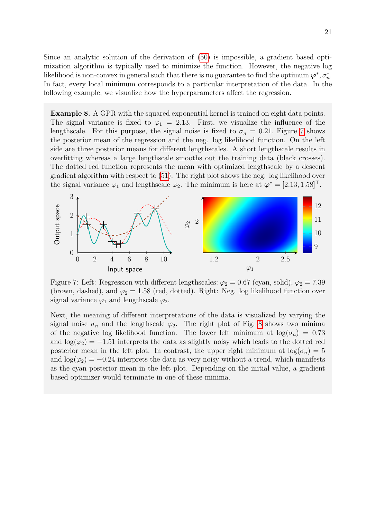Since an analytic solution of the derivation of [\(50\)](#page-19-2) is impossible, a gradient based optimization algorithm is typically used to minimize the function. However, the negative log likelihood is non-convex in general such that there is no guarantee to find the optimum  $\varphi^*, \sigma_n^*$ . In fact, every local minimum corresponds to a particular interpretation of the data. In the following example, we visualize how the hyperparameters affect the regression.

**Example 8.** A GPR with the squared exponential kernel is trained on eight data points. The signal variance is fixed to  $\varphi_1 = 2.13$ . First, we visualize the influence of the lengthscale. For this purpose, the signal noise is fixed to  $\sigma_n = 0.21$ . Figure [7](#page-20-0) shows the posterior mean of the regression and the neg. log likelihood function. On the left side are three posterior means for different lengthscales. A short lengthscale results in overfitting whereas a large lengthscale smooths out the training data (black crosses). The dotted red function represents the mean with optimized lengthscale by a descent gradient algorithm with respect to [\(51\)](#page-19-3). The right plot shows the neg. log likelihood over the signal variance  $\varphi_1$  and lengthscale  $\varphi_2$ . The minimum is here at  $\varphi^* = [2.13, 1.58]^\top$ .

<span id="page-20-0"></span>

Figure 7: Left: Regression with different lengthscales:  $\varphi_2 = 0.67$  (cyan, solid),  $\varphi_2 = 7.39$ (brown, dashed), and  $\varphi_2 = 1.58$  (red, dotted). Right: Neg. log likelihood function over signal variance  $\varphi_1$  and lengthscale  $\varphi_2$ .

<span id="page-20-1"></span>Next, the meaning of different interpretations of the data is visualized by varying the signal noise  $\sigma_n$  and the lengthscale  $\varphi_2$ . The right plot of Fig. [8](#page-20-1) shows two minima of the negative log likelihood function. The lower left minimum at  $\log(\sigma_n) = 0.73$ and  $\log(\varphi_2) = -1.51$  interprets the data as slightly noisy which leads to the dotted red posterior mean in the left plot. In contrast, the upper right minimum at  $\log(\sigma_n) = 5$ and  $\log(\varphi_2) = -0.24$  interprets the data as very noisy without a trend, which manifests as the cyan posterior mean in the left plot. Depending on the initial value, a gradient based optimizer would terminate in one of these minima.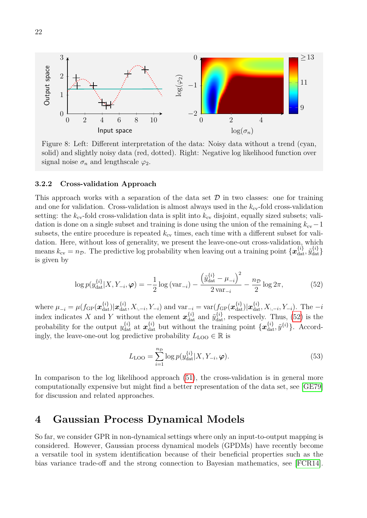

Figure 8: Left: Different interpretation of the data: Noisy data without a trend (cyan, solid) and slightly noisy data (red, dotted). Right: Negative log likelihood function over signal noise  $\sigma_n$  and lengthscale  $\varphi_2$ .

#### <span id="page-21-0"></span>**3.2.2 Cross-validation Approach**

This approach works with a separation of the data set  $D$  in two classes: one for training and one for validation. Cross-validation is almost always used in the  $k_{\rm cv}$ -fold cross-validation setting: the  $k_{\text{cv}}$ -fold cross-validation data is split into  $k_{\text{cv}}$  disjoint, equally sized subsets; validation is done on a single subset and training is done using the union of the remaining  $k_{cv}-1$ subsets, the entire procedure is repeated  $k_{\rm cv}$  times, each time with a different subset for validation. Here, without loss of generality, we present the leave-one-out cross-validation, which means  $k_{\text{cv}} = n_{\mathcal{D}}$ . The predictive log probability when leaving out a training point  $\{\boldsymbol{x}_{\text{dat}}^{\{i\}}, \tilde{y}_{\text{dat}}^{\{i\}}\}$ is given by

$$
\log p(y_{\text{dat}}^{\{i\}}|X, Y_{-i}, \varphi) = -\frac{1}{2} \log \left( \text{var}_{-i} \right) - \frac{\left( \tilde{y}_{\text{dat}}^{\{i\}} - \mu_{-i} \right)^2}{2 \text{ var}_{-i}} - \frac{n_{\mathcal{D}}}{2} \log 2\pi, \tag{52}
$$

where  $\mu_{-i} = \mu(f_{\text{GP}}(\mathbf{x}_{\text{dat}}^{\{i\}})|\mathbf{x}_{\text{dat}}^{\{i\}}, X_{:, -i}, Y_{-i})$  and  $\text{var}_{-i} = \text{var}(f_{\text{GP}}(\mathbf{x}_{\text{dat}}^{\{i\}})|\mathbf{x}_{\text{dat}}^{\{i\}}, X_{:, -i}, Y_{-i})$ . The  $-i$ index indicates X and Y without the element  $x_{\text{dat}}^{\{i\}}$  and  $\tilde{y}_{\text{dat}}^{\{i\}}$ , respectively. Thus, [\(52\)](#page-21-2) is the probability for the output  $y_{\text{dat}}^{\{i\}}$  at  $x_{\text{dat}}^{\{i\}}$  but without the training point  $\{x_{\text{dat}}^{\{i\}}, \tilde{y}^{\{i\}}\}$ . Accordingly, the leave-one-out log predictive probability  $L_{\text{LOO}} \in \mathbb{R}$  is

<span id="page-21-2"></span>
$$
L_{\text{LOO}} = \sum_{i=1}^{n_{\mathcal{D}}} \log p(y_{\text{dat}}^{\{i\}} | X, Y_{-i}, \varphi).
$$
 (53)

In comparison to the log likelihood approach [\(51\)](#page-19-3), the cross-validation is in general more computationally expensive but might find a better representation of the data set, see [\[GE79\]](#page-28-7) for discussion and related approaches.

## <span id="page-21-1"></span>**4 Gaussian Process Dynamical Models**

So far, we consider GPR in non-dynamical settings where only an input-to-output mapping is considered. However, Gaussian process dynamical models (GPDMs) have recently become a versatile tool in system identification because of their beneficial properties such as the bias variance trade-off and the strong connection to Bayesian mathematics, see [\[FCR14\]](#page-28-8).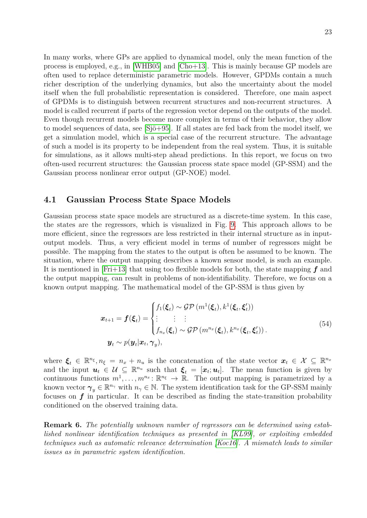In many works, where GPs are applied to dynamical model, only the mean function of the process is employed, e.g., in [\[WHB05\]](#page-29-4) and [\[Cho+13\]](#page-27-9). This is mainly because GP models are often used to replace deterministic parametric models. However, GPDMs contain a much richer description of the underlying dynamics, but also the uncertainty about the model itself when the full probabilistic representation is considered. Therefore, one main aspect of GPDMs is to distinguish between recurrent structures and non-recurrent structures. A model is called recurrent if parts of the regression vector depend on the outputs of the model. Even though recurrent models become more complex in terms of their behavior, they allow to model sequences of data, see [\[Sjö+95\]](#page-28-9). If all states are fed back from the model itself, we get a simulation model, which is a special case of the recurrent structure. The advantage of such a model is its property to be independent from the real system. Thus, it is suitable for simulations, as it allows multi-step ahead predictions. In this report, we focus on two often-used recurrent structures: the Gaussian process state space model (GP-SSM) and the Gaussian process nonlinear error output (GP-NOE) model.

#### <span id="page-22-0"></span>**4.1 Gaussian Process State Space Models**

Gaussian process state space models are structured as a discrete-time system. In this case, the states are the regressors, which is visualized in Fig. [9.](#page-23-1) This approach allows to be more efficient, since the regressors are less restricted in their internal structure as in inputoutput models. Thus, a very efficient model in terms of number of regressors might be possible. The mapping from the states to the output is often be assumed to be known. The situation, where the output mapping describes a known sensor model, is such an example. It is mentioned in [\[Fri+13\]](#page-28-10) that using too flexible models for both, the state mapping *f* and the output mapping, can result in problems of non-identifiability. Therefore, we focus on a known output mapping. The mathematical model of the GP-SSM is thus given by

$$
\boldsymbol{x}_{t+1} = \boldsymbol{f}(\boldsymbol{\xi}_t) = \begin{cases} f_1(\boldsymbol{\xi}_t) \sim \mathcal{GP}(m^1(\boldsymbol{\xi}_t), k^1(\boldsymbol{\xi}_t, \boldsymbol{\xi}'_t)) \\ \vdots & \vdots \\ f_{n_x}(\boldsymbol{\xi}_t) \sim \mathcal{GP}(m^{n_x}(\boldsymbol{\xi}_t), k^{n_x}(\boldsymbol{\xi}_t, \boldsymbol{\xi}'_t)) \\ \end{cases} \tag{54}
$$

$$
\boldsymbol{y}_t \sim p(\boldsymbol{y}_t | \boldsymbol{x}_t, \boldsymbol{\gamma}_y),
$$

where  $\xi_t \in \mathbb{R}^{n_{\xi}}, n_{\xi} = n_x + n_u$  is the concatenation of the state vector  $x_t \in \mathcal{X} \subseteq \mathbb{R}^{n_x}$ and the input  $u_t \in U \subseteq \mathbb{R}^{n_u}$  such that  $\xi_t = [x_t; u_t]$ . The mean function is given by continuous functions  $m^1, \ldots, m^{n_x} : \mathbb{R}^{n_{\xi}} \to \mathbb{R}$ . The output mapping is parametrized by a known vector  $\gamma_y \in \mathbb{R}^{n_\gamma}$  with  $n_\gamma \in \mathbb{N}$ . The system identification task for the GP-SSM mainly focuses on  $f$  in particular. It can be described as finding the state-transition probability conditioned on the observed training data.

**Remark 6.** *The potentially unknown number of regressors can be determined using established nonlinear identification techniques as presented in [\[KL99\]](#page-28-11), or exploiting embedded techniques such as automatic relevance determination [\[Koc16\]](#page-28-12). A mismatch leads to similar issues as in parametric system identification.*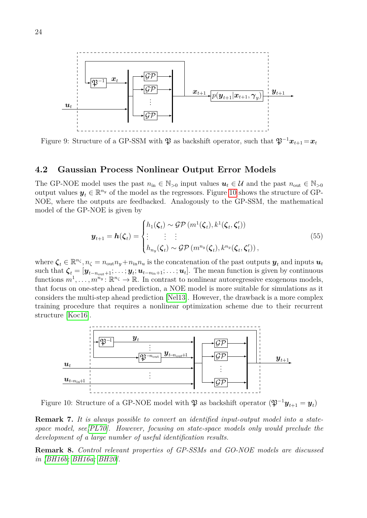<span id="page-23-1"></span>

Figure 9: Structure of a GP-SSM with  $\mathfrak{P}$  as backshift operator, such that  $\mathfrak{P}^{-1}x_{t+1} = x_t$ 

#### <span id="page-23-0"></span>**4.2 Gaussian Process Nonlinear Output Error Models**

The GP-NOE model uses the past  $n_{\text{in}} \in \mathbb{N}_{>0}$  input values  $u_t \in \mathcal{U}$  and the past  $n_{\text{out}} \in \mathbb{N}_{>0}$ output values  $y_t \in \mathbb{R}^{n_y}$  of the model as the regressors. Figure [10](#page-23-2) shows the structure of GP-NOE, where the outputs are feedbacked. Analogously to the GP-SSM, the mathematical model of the GP-NOE is given by

$$
\boldsymbol{y}_{t+1} = \boldsymbol{h}(\boldsymbol{\zeta}_t) = \begin{cases} h_1(\boldsymbol{\zeta}_t) \sim \mathcal{GP}(m^1(\boldsymbol{\zeta}_t), k^1(\boldsymbol{\zeta}_t, \boldsymbol{\zeta}'_t)) \\ \vdots & \vdots \\ h_{n_y}(\boldsymbol{\zeta}_t) \sim \mathcal{GP}(m^{n_y}(\boldsymbol{\zeta}_t), k^{n_y}(\boldsymbol{\zeta}_t, \boldsymbol{\zeta}'_t)), \end{cases}
$$
(55)

where  $\zeta_t \in \mathbb{R}^{n_{\zeta}}, n_{\zeta} = n_{\text{out}}n_y + n_{\text{in}}n_u$  is the concatenation of the past outputs  $y_t$  and inputs  $u_t$ such that  $\zeta_t = [\mathbf{y}_{t-n_{\text{out}}+1}; \ldots; \mathbf{y}_t; \mathbf{u}_{t-n_{\text{in}}+1}; \ldots; \mathbf{u}_t]$ . The mean function is given by continuous functions  $m^1, \ldots, m^{n_y} : \mathbb{R}^{n_{\zeta}} \to \mathbb{R}$ . In contrast to nonlinear autoregressive exogenous models, that focus on one-step ahead prediction, a NOE model is more suitable for simulations as it considers the multi-step ahead prediction [\[Nel13\]](#page-28-13). However, the drawback is a more complex training procedure that requires a nonlinear optimization scheme due to their recurrent structure [\[Koc16\]](#page-28-12).

<span id="page-23-2"></span>

Figure 10: Structure of a GP-NOE model with  $\mathfrak{P}$  as backshift operator  $(\mathfrak{P}^{-1}\mathcal{Y}_{t+1}=\mathcal{y}_t)$ 

**Remark 7.** *It is always possible to convert an identified input-output model into a statespace model, see[\[PL70\]](#page-28-14). However, focusing on state-space models only would preclude the development of a large number of useful identification results.*

**Remark 8.** *Control relevant properties of GP-SSMs and GO-NOE models are discussed in [\[BH16b;](#page-27-10) [BH16a;](#page-27-11) [BH20\]](#page-27-12).*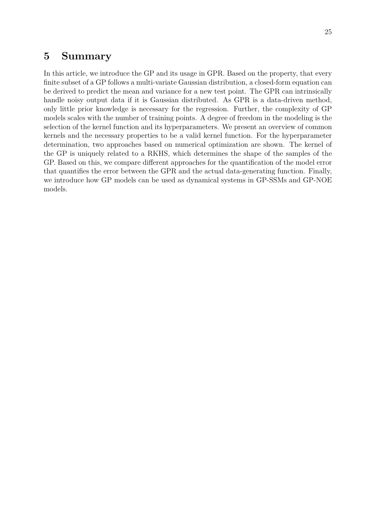## <span id="page-24-0"></span>**5 Summary**

In this article, we introduce the GP and its usage in GPR. Based on the property, that every finite subset of a GP follows a multi-variate Gaussian distribution, a closed-form equation can be derived to predict the mean and variance for a new test point. The GPR can intrinsically handle noisy output data if it is Gaussian distributed. As GPR is a data-driven method, only little prior knowledge is necessary for the regression. Further, the complexity of GP models scales with the number of training points. A degree of freedom in the modeling is the selection of the kernel function and its hyperparameters. We present an overview of common kernels and the necessary properties to be a valid kernel function. For the hyperparameter determination, two approaches based on numerical optimization are shown. The kernel of the GP is uniquely related to a RKHS, which determines the shape of the samples of the GP. Based on this, we compare different approaches for the quantification of the model error that quantifies the error between the GPR and the actual data-generating function. Finally, we introduce how GP models can be used as dynamical systems in GP-SSMs and GP-NOE models.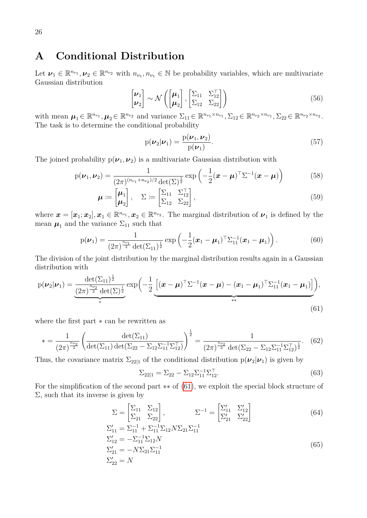## <span id="page-25-0"></span>**A Conditional Distribution**

Let  $\nu_1 \in \mathbb{R}^{n_{\nu_1}}, \nu_2 \in \mathbb{R}^{n_{\nu_2}}$  with  $n_{\nu_1}, n_{\nu_1} \in \mathbb{N}$  be probability variables, which are multivariate Gaussian distribution

$$
\begin{bmatrix} \boldsymbol{\nu}_1 \\ \boldsymbol{\nu}_2 \end{bmatrix} \sim \mathcal{N} \left( \begin{bmatrix} \boldsymbol{\mu}_1 \\ \boldsymbol{\mu}_2 \end{bmatrix}, \begin{bmatrix} \boldsymbol{\Sigma}_{11} & \boldsymbol{\Sigma}_{12}^{\top} \\ \boldsymbol{\Sigma}_{12} & \boldsymbol{\Sigma}_{22} \end{bmatrix} \right)
$$
 (56)

with mean  $\mu_1 \in \mathbb{R}^{n_{\nu_1}}, \mu_2 \in \mathbb{R}^{n_{\nu_2}}$  and variance  $\Sigma_{11} \in \mathbb{R}^{n_{\nu_1} \times n_{\nu_1}}, \Sigma_{12} \in \mathbb{R}^{n_{\nu_2} \times n_{\nu_1}}, \Sigma_{22} \in \mathbb{R}^{n_{\nu_2} \times n_{\nu_2}}$ . The task is to determine the conditional probability

$$
p(\boldsymbol{\nu}_2|\boldsymbol{\nu}_1) = \frac{p(\boldsymbol{\nu}_1, \boldsymbol{\nu}_2)}{p(\boldsymbol{\nu}_1)}.
$$
\n(57)

The joined probability  $p(\nu_1, \nu_2)$  is a multivariate Gaussian distribution with

$$
p(\boldsymbol{\nu}_1, \boldsymbol{\nu}_2) = \frac{1}{(2\pi)^{(n_{\nu_1} + n_{\nu_2})/2} \det(\Sigma)^{\frac{1}{2}}} \exp\left(-\frac{1}{2}(\boldsymbol{x} - \boldsymbol{\mu})^\top \Sigma^{-1}(\boldsymbol{x} - \boldsymbol{\mu})\right)
$$
(58)

$$
\boldsymbol{\mu} \coloneqq \begin{bmatrix} \boldsymbol{\mu}_1 \\ \boldsymbol{\mu}_2 \end{bmatrix}, \quad \Sigma \coloneqq \begin{bmatrix} \Sigma_{11} & \Sigma_{12}^{\top} \\ \Sigma_{12} & \Sigma_{22} \end{bmatrix}, \tag{59}
$$

where  $\mathbf{x} = [\mathbf{x}_1; \mathbf{x}_2], \mathbf{x}_1 \in \mathbb{R}^{n_{\nu_1}}, \mathbf{x}_2 \in \mathbb{R}^{n_{\nu_2}}$ . The marginal distribution of  $\nu_1$  is defined by the mean  $\mu_1$  and the variance  $\Sigma_{11}$  such that

$$
p(\nu_1) = \frac{1}{(2\pi)^{\frac{n_{\nu_1}}{2}} \det(\Sigma_{11})^{\frac{1}{2}}} \exp\left(-\frac{1}{2}(\boldsymbol{x}_1 - \boldsymbol{\mu}_1)^{\top} \Sigma_{11}^{-1}(\boldsymbol{x}_1 - \boldsymbol{\mu}_1)\right).
$$
(60)

The division of the joint distribution by the marginal distribution results again in a Gaussian distribution with

$$
p(\nu_2|\nu_1) = \underbrace{\frac{\det(\Sigma_{11})^{\frac{1}{2}}}{(2\pi)^{\frac{n\nu_2}{2}}\det(\Sigma)^{\frac{1}{2}}}}_{*} \exp\bigg(-\frac{1}{2}\underbrace{\big[(\mathbf{x}-\boldsymbol{\mu})^{\top}\Sigma^{-1}(\mathbf{x}-\boldsymbol{\mu}) - (\mathbf{x}_1-\boldsymbol{\mu}_1)^{\top}\Sigma_{11}^{-1}(\mathbf{x}_1-\boldsymbol{\mu}_1)\big]}_{**}\bigg),\tag{61}
$$

where the first part ∗ can be rewritten as

$$
* = \frac{1}{(2\pi)^{\frac{n_{\nu_2}}{2}}} \left( \frac{\det(\Sigma_{11})}{\det(\Sigma_{11}) \det(\Sigma_{22} - \Sigma_{12} \Sigma_{11}^{-1} \Sigma_{12}^{\top})} \right)^{\frac{1}{2}} = \frac{1}{(2\pi)^{\frac{n_{\nu_2}}{2}} \det(\Sigma_{22} - \Sigma_{12} \Sigma_{11}^{-1} \Sigma_{12}^{\top})^{\frac{1}{2}}}.
$$
 (62)

Thus, the covariance matrix  $\Sigma_{22|1}$  of the conditional distribution  $p(\nu_2|\nu_1)$  is given by

<span id="page-25-1"></span>
$$
\Sigma_{22|1} = \Sigma_{22} - \Sigma_{12} \Sigma_{11}^{-1} \Sigma_{12}^{\top}.
$$
\n(63)

For the simplification of the second part ∗∗ of [\(61\)](#page-25-1), we exploit the special block structure of  $\Sigma$ , such that its inverse is given by

$$
\Sigma = \begin{bmatrix} \Sigma_{11} & \Sigma_{12} \\ \Sigma_{21} & \Sigma_{22} \end{bmatrix}, \qquad \Sigma^{-1} = \begin{bmatrix} \Sigma'_{11} & \Sigma'_{12} \\ \Sigma'_{21} & \Sigma'_{22} \end{bmatrix} \tag{64}
$$
\n
$$
\Sigma'_{11} = \Sigma_{11}^{-1} + \Sigma_{11}^{-1} \Sigma_{12} N \Sigma_{21} \Sigma_{11}^{-1}
$$

$$
\Sigma_{11}' = \Sigma_{11}^{-1} + \Sigma_{11}^{-1} \Sigma_{12} N \Sigma_{21} \Sigma_{11}^{-1}
$$
  
\n
$$
\Sigma_{12}' = -\Sigma_{11}^{-1} \Sigma_{12} N
$$
  
\n
$$
\Sigma_{21}' = -N \Sigma_{21} \Sigma_{11}^{-1}
$$
  
\n
$$
\Sigma_{22}' = N
$$
\n(65)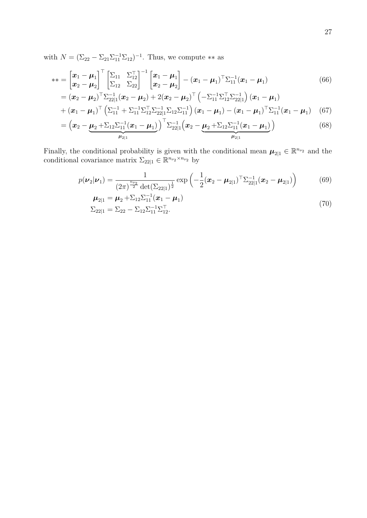with  $N = (\Sigma_{22} - \Sigma_{21} \Sigma_{11}^{-1} \Sigma_{12})^{-1}$ . Thus, we compute \*\* as

$$
** = \begin{bmatrix} x_1 - \mu_1 \\ x_2 - \mu_2 \end{bmatrix}^\top \begin{bmatrix} \Sigma_{11} & \Sigma_{12}^\top \\ \Sigma_{12} & \Sigma_{22} \end{bmatrix}^{-1} \begin{bmatrix} x_1 - \mu_1 \\ x_2 - \mu_2 \end{bmatrix} - (x_1 - \mu_1)^\top \Sigma_{11}^{-1} (x_1 - \mu_1)
$$
(66)

$$
= (\boldsymbol{x}_2 - \boldsymbol{\mu}_2)^{\top} \Sigma_{22|1}^{-1} (\boldsymbol{x}_2 - \boldsymbol{\mu}_2) + 2 (\boldsymbol{x}_2 - \boldsymbol{\mu}_2)^{\top} \left( - \Sigma_{11}^{-1} \Sigma_{12}^{\top} \Sigma_{22|1}^{-1} \right) (\boldsymbol{x}_1 - \boldsymbol{\mu}_1) + (\boldsymbol{x}_1 - \boldsymbol{\mu}_1)^{\top} \left( \Sigma_{11}^{-1} + \Sigma_{11}^{-1} \Sigma_{12}^{\top} \Sigma_{22|1}^{-1} \Sigma_{12} \Sigma_{11}^{-1} \right) (\boldsymbol{x}_1 - \boldsymbol{\mu}_1) - (\boldsymbol{x}_1 - \boldsymbol{\mu}_1)^{\top} \Sigma_{11}^{-1} (\boldsymbol{x}_1 - \boldsymbol{\mu}_1)
$$
(67)

$$
= \left(\boldsymbol{x}_2 - \underbrace{\boldsymbol{\mu}_2 + \Sigma_{12} \Sigma_{11}^{-1} (\boldsymbol{x}_1 - \boldsymbol{\mu}_1)}_{\boldsymbol{\mu}_{2|1}}\right)^{\top} \Sigma_{22|1}^{-1} \left(\boldsymbol{x}_2 - \underbrace{\boldsymbol{\mu}_2 + \Sigma_{12} \Sigma_{11}^{-1} (\boldsymbol{x}_1 - \boldsymbol{\mu}_1)}_{\boldsymbol{\mu}_{2|1}}\right)
$$
(68)

Finally, the conditional probability is given with the conditional mean  $\mu_{2|1} \in \mathbb{R}^{n_{\nu_2}}$  and the conditional covariance matrix  $\Sigma_{22|1} \in \mathbb{R}^{n_{\nu_2} \times n_{\nu_2}}$  by

$$
p(\nu_2|\nu_1) = \frac{1}{(2\pi)^{\frac{n_{\nu_2}}{2}} \det(\Sigma_{22|1})^{\frac{1}{2}}} \exp\left(-\frac{1}{2}(\boldsymbol{x}_2 - \boldsymbol{\mu}_{2|1})^{\top} \Sigma_{22|1}^{-1}(\boldsymbol{x}_2 - \boldsymbol{\mu}_{2|1})\right)
$$
(69)

$$
\mu_{2|1} = \mu_2 + \Sigma_{12} \Sigma_{11}^{-1} (\boldsymbol{x}_1 - \boldsymbol{\mu}_1) \n\Sigma_{22|1} = \Sigma_{22} - \Sigma_{12} \Sigma_{11}^{-1} \Sigma_{12}^{\top}.
$$
\n(70)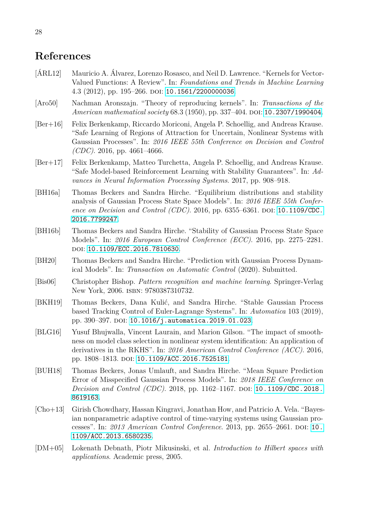## **References**

- <span id="page-27-0"></span>[ÁRL12] Mauricio A. Álvarez, Lorenzo Rosasco, and Neil D. Lawrence. "Kernels for Vector-Valued Functions: A Review". In: *Foundations and Trends in Machine Learning* 4.3 (2012), pp. 195–266. doi: [10.1561/2200000036](https://doi.org/10.1561/2200000036).
- <span id="page-27-4"></span>[Aro50] Nachman Aronszajn. "Theory of reproducing kernels". In: *Transactions of the American mathematical society* 68.3 (1950), pp. 337–404. DOI: [10.2307/1990404](https://doi.org/10.2307/1990404).
- <span id="page-27-6"></span>[Ber+16] Felix Berkenkamp, Riccardo Moriconi, Angela P. Schoellig, and Andreas Krause. "Safe Learning of Regions of Attraction for Uncertain, Nonlinear Systems with Gaussian Processes". In: *2016 IEEE 55th Conference on Decision and Control (CDC)*. 2016, pp. 4661–4666.
- <span id="page-27-1"></span>[Ber+17] Felix Berkenkamp, Matteo Turchetta, Angela P. Schoellig, and Andreas Krause. "Safe Model-based Reinforcement Learning with Stability Guarantees". In: *Advances in Neural Information Processing Systems*. 2017, pp. 908–918.
- <span id="page-27-11"></span>[BH16a] Thomas Beckers and Sandra Hirche. "Equilibrium distributions and stability analysis of Gaussian Process State Space Models". In: *2016 IEEE 55th Conference on Decision and Control (CDC)*. 2016, pp. 6355–6361. DOI: [10.1109/CDC.](https://doi.org/10.1109/CDC.2016.7799247) [2016.7799247](https://doi.org/10.1109/CDC.2016.7799247).
- <span id="page-27-10"></span>[BH16b] Thomas Beckers and Sandra Hirche. "Stability of Gaussian Process State Space Models". In: *2016 European Control Conference (ECC)*. 2016, pp. 2275–2281. doi: [10.1109/ECC.2016.7810630](https://doi.org/10.1109/ECC.2016.7810630).
- <span id="page-27-12"></span>[BH20] Thomas Beckers and Sandra Hirche. "Prediction with Gaussian Process Dynamical Models". In: *Transaction on Automatic Control* (2020). Submitted.
- <span id="page-27-8"></span>[Bis06] Christopher Bishop. *Pattern recognition and machine learning*. Springer-Verlag New York, 2006. isbn: 9780387310732.
- <span id="page-27-7"></span>[BKH19] Thomas Beckers, Dana Kulić, and Sandra Hirche. "Stable Gaussian Process based Tracking Control of Euler-Lagrange Systems". In: *Automatica* 103 (2019), pp. 390-397. DOI: [10.1016/j.automatica.2019.01.023](https://doi.org/10.1016/j.automatica.2019.01.023).
- <span id="page-27-2"></span>[BLG16] Yusuf Bhujwalla, Vincent Laurain, and Marion Gilson. "The impact of smoothness on model class selection in nonlinear system identification: An application of derivatives in the RKHS". In: *2016 American Control Conference (ACC)*. 2016, pp. 1808-1813. DOI: [10.1109/ACC.2016.7525181](https://doi.org/10.1109/ACC.2016.7525181).
- <span id="page-27-5"></span>[BUH18] Thomas Beckers, Jonas Umlauft, and Sandra Hirche. "Mean Square Prediction Error of Misspecified Gaussian Process Models". In: *2018 IEEE Conference on Decision and Control (CDC)*. 2018, pp. 1162–1167. DOI: [10.1109/CDC.2018.](https://doi.org/10.1109/CDC.2018.8619163) [8619163](https://doi.org/10.1109/CDC.2018.8619163).
- <span id="page-27-9"></span>[Cho+13] Girish Chowdhary, Hassan Kingravi, Jonathan How, and Patricio A. Vela. "Bayesian nonparametric adaptive control of time-varying systems using Gaussian pro-cesses". In: 2013 American Control Conference. 2013, pp. 2655–2661. DOI: [10.](https://doi.org/10.1109/ACC.2013.6580235) [1109/ACC.2013.6580235](https://doi.org/10.1109/ACC.2013.6580235).
- <span id="page-27-3"></span>[DM+05] Lokenath Debnath, Piotr Mikusinski, et al. *Introduction to Hilbert spaces with applications*. Academic press, 2005.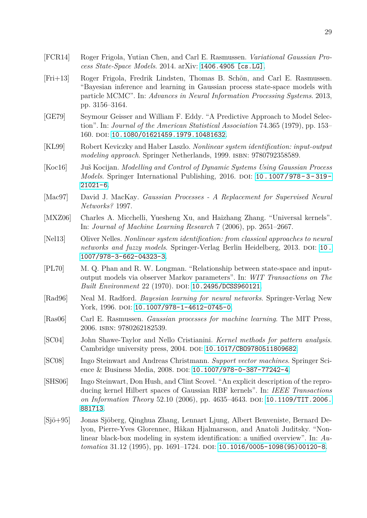- <span id="page-28-8"></span>[FCR14] Roger Frigola, Yutian Chen, and Carl E. Rasmussen. *Variational Gaussian Process State-Space Models*. 2014. arXiv: [1406.4905 \[cs.LG\]](https://arxiv.org/abs/1406.4905).
- <span id="page-28-10"></span>[Fri+13] Roger Frigola, Fredrik Lindsten, Thomas B. Schön, and Carl E. Rasmussen. "Bayesian inference and learning in Gaussian process state-space models with particle MCMC". In: *Advances in Neural Information Processing Systems*. 2013, pp. 3156–3164.
- <span id="page-28-7"></span>[GE79] Seymour Geisser and William F. Eddy. "A Predictive Approach to Model Selection". In: *Journal of the American Statistical Association* 74.365 (1979), pp. 153– 160. doi: [10.1080/01621459.1979.10481632](https://doi.org/10.1080/01621459.1979.10481632).
- <span id="page-28-11"></span>[KL99] Robert Keviczky and Haber Laszlo. *Nonlinear system identification: input-output* modeling approach. Springer Netherlands, 1999. ISBN: 9780792358589.
- <span id="page-28-12"></span>[Koc16] Juš Kocijan. *Modelling and Control of Dynamic Systems Using Gaussian Process Models*. Springer International Publishing, 2016. DOI: 10.1007/978-3-319-[21021-6](https://doi.org/10.1007/978-3-319-21021-6).
- <span id="page-28-6"></span>[Mac97] David J. MacKay. *Gaussian Processes - A Replacement for Supervised Neural Networks?* 1997.
- <span id="page-28-5"></span>[MXZ06] Charles A. Micchelli, Yuesheng Xu, and Haizhang Zhang. "Universal kernels". In: *Journal of Machine Learning Research* 7 (2006), pp. 2651–2667.
- <span id="page-28-13"></span>[Nel13] Oliver Nelles. *Nonlinear system identification: from classical approaches to neural networks and fuzzy models.* Springer-Verlag Berlin Heidelberg, 2013. doi: [10.](https://doi.org/10.1007/978-3-662-04323-3) [1007/978-3-662-04323-3](https://doi.org/10.1007/978-3-662-04323-3).
- <span id="page-28-14"></span>[PL70] M. Q. Phan and R. W. Longman. "Relationship between state-space and inputoutput models via observer Markov parameters". In: *WIT Transactions on The Built Environment* 22 (1970). DOI: [10.2495/DCSS960121](https://doi.org/10.2495/DCSS960121).
- <span id="page-28-0"></span>[Rad96] Neal M. Radford. *Bayesian learning for neural networks*. Springer-Verlag New York, 1996. DOI: [10.1007/978-1-4612-0745-0](https://doi.org/10.1007/978-1-4612-0745-0).
- <span id="page-28-1"></span>[Ras06] Carl E. Rasmussen. *Gaussian processes for machine learning*. The MIT Press, 2006. isbn: 9780262182539.
- <span id="page-28-4"></span>[SC04] John Shawe-Taylor and Nello Cristianini. *Kernel methods for pattern analysis*. Cambridge university press, 2004. DOI: 10.1017/CB09780511809682.
- <span id="page-28-2"></span>[SC08] Ingo Steinwart and Andreas Christmann. *Support vector machines*. Springer Sci-ence & Business Media, 2008. DOI: [10.1007/978-0-387-77242-4](https://doi.org/10.1007/978-0-387-77242-4).
- <span id="page-28-3"></span>[SHS06] Ingo Steinwart, Don Hush, and Clint Scovel. "An explicit description of the reproducing kernel Hilbert spaces of Gaussian RBF kernels". In: *IEEE Transactions on Information Theory* 52.10 (2006), pp. 4635-4643. DOI: [10.1109/TIT.2006.](https://doi.org/10.1109/TIT.2006.881713) [881713](https://doi.org/10.1109/TIT.2006.881713).
- <span id="page-28-9"></span>[Sjö+95] Jonas Sjöberg, Qinghua Zhang, Lennart Ljung, Albert Benveniste, Bernard Delyon, Pierre-Yves Glorennec, Håkan Hjalmarsson, and Anatoli Juditsky. "Nonlinear black-box modeling in system identification: a unified overview". In: *Automatica* 31.12 (1995), pp. 1691-1724. DOI: [10.1016/0005-1098\(95\)00120-8](https://doi.org/10.1016/0005-1098(95)00120-8).